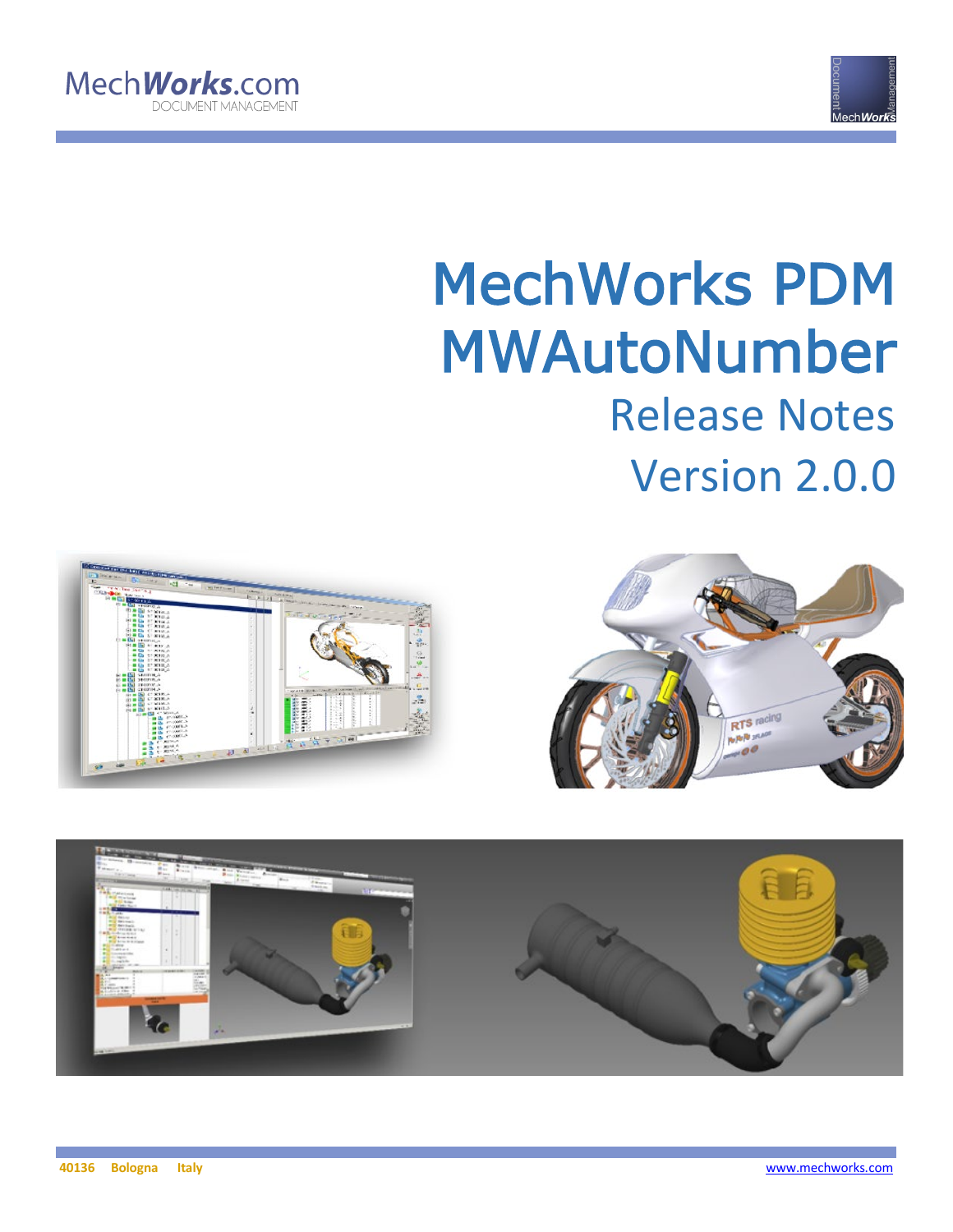



# MechWorks PDM MWAutoNumber Release Notes Version 2.0.0





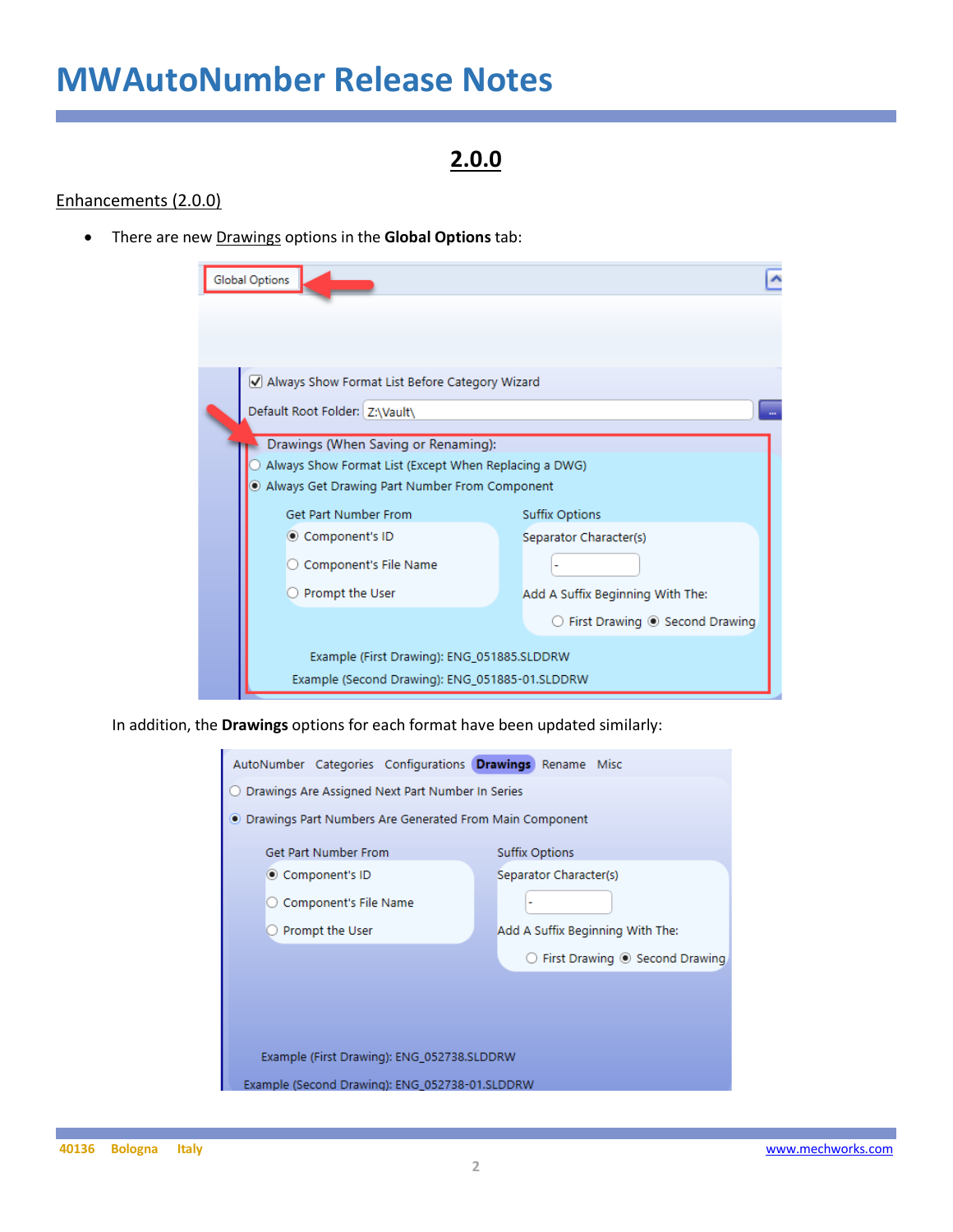### **2.0.0**

#### Enhancements (2.0.0)

• There are new Drawings options in the **Global Options** tab:

| <b>Global Options</b>                                 |                                                        |
|-------------------------------------------------------|--------------------------------------------------------|
|                                                       |                                                        |
|                                                       |                                                        |
| Always Show Format List Before Category Wizard        |                                                        |
| Default Root Folder: Z:\Vault\                        |                                                        |
|                                                       |                                                        |
| Drawings (When Saving or Renaming):                   |                                                        |
| Always Show Format List (Except When Replacing a DWG) |                                                        |
| Always Get Drawing Part Number From Component         |                                                        |
| Get Part Number From                                  | <b>Suffix Options</b>                                  |
| © Component's ID                                      | Separator Character(s)                                 |
| Component's File Name                                 |                                                        |
| Prompt the User                                       | Add A Suffix Beginning With The:                       |
|                                                       | $\bigcirc$ First Drawing $\circledcirc$ Second Drawing |
| Example (First Drawing): ENG_051885.SLDDRW            |                                                        |
| Example (Second Drawing): ENG_051885-01.SLDDRW        |                                                        |

In addition, the **Drawings** options for each format have been updated similarly:

| AutoNumber Categories Configurations Drawings Rename Misc |                                  |  |  |  |  |  |  |  |  |
|-----------------------------------------------------------|----------------------------------|--|--|--|--|--|--|--|--|
| Drawings Are Assigned Next Part Number In Series          |                                  |  |  |  |  |  |  |  |  |
| ● Drawings Part Numbers Are Generated From Main Component |                                  |  |  |  |  |  |  |  |  |
| Get Part Number From                                      | <b>Suffix Options</b>            |  |  |  |  |  |  |  |  |
| © Component's ID                                          | Separator Character(s)           |  |  |  |  |  |  |  |  |
| Component's File Name                                     |                                  |  |  |  |  |  |  |  |  |
| Prompt the User                                           | Add A Suffix Beginning With The: |  |  |  |  |  |  |  |  |
| First Drawing <sup>O</sup> Second Drawing                 |                                  |  |  |  |  |  |  |  |  |
|                                                           |                                  |  |  |  |  |  |  |  |  |
|                                                           |                                  |  |  |  |  |  |  |  |  |
|                                                           |                                  |  |  |  |  |  |  |  |  |
| Example (First Drawing): ENG_052738.SLDDRW                |                                  |  |  |  |  |  |  |  |  |
| Example (Second Drawing): ENG 052738-01.SLDDRW            |                                  |  |  |  |  |  |  |  |  |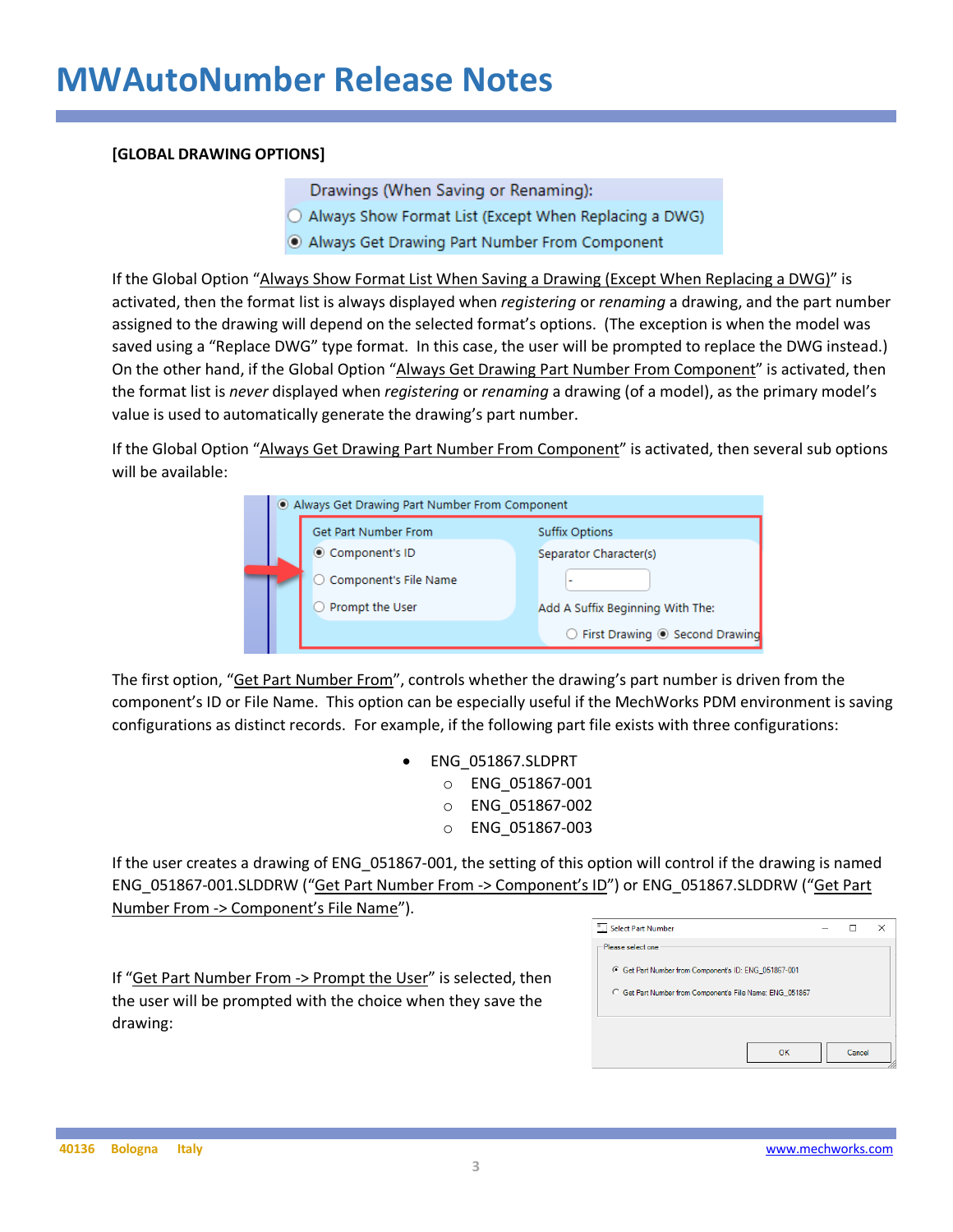#### **[GLOBAL DRAWING OPTIONS]**

Drawings (When Saving or Renaming):

- O Always Show Format List (Except When Replacing a DWG)
- Always Get Drawing Part Number From Component

If the Global Option "Always Show Format List When Saving a Drawing (Except When Replacing a DWG)" is activated, then the format list is always displayed when *registering* or *renaming* a drawing, and the part number assigned to the drawing will depend on the selected format's options. (The exception is when the model was saved using a "Replace DWG" type format. In this case, the user will be prompted to replace the DWG instead.) On the other hand, if the Global Option "Always Get Drawing Part Number From Component" is activated, then the format list is *never* displayed when *registering* or *renaming* a drawing (of a model), as the primary model's value is used to automatically generate the drawing's part number.

If the Global Option "Always Get Drawing Part Number From Component" is activated, then several sub options will be available:

|  | Always Get Drawing Part Number From Component |                                  |
|--|-----------------------------------------------|----------------------------------|
|  | Get Part Number From                          | <b>Suffix Options</b>            |
|  | © Component's ID                              | Separator Character(s)           |
|  | ○ Component's File Name                       | ۰                                |
|  | Prompt the User                               | Add A Suffix Beginning With The: |
|  |                                               | ○ First Drawing ◉ Second Drawing |

The first option, "Get Part Number From", controls whether the drawing's part number is driven from the component's ID or File Name. This option can be especially useful if the MechWorks PDM environment is saving configurations as distinct records. For example, if the following part file exists with three configurations:

> • ENG\_051867.SLDPRT o ENG\_051867-001 o ENG\_051867-002 o ENG\_051867-003

If the user creates a drawing of ENG\_051867-001, the setting of this option will control if the drawing is named ENG\_051867-001.SLDDRW ("Get Part Number From -> Component's ID") or ENG\_051867.SLDDRW ("Get Part Number From -> Component's File Name").

If "Get Part Number From -> Prompt the User" is selected, then the user will be prompted with the choice when they save the drawing:

| Please select one<br>G Get Part Number from Component's ID: ENG_051867-001<br>C Get Part Number from Component's File Name: ENG 051867 | Select Part Number |        | × |
|----------------------------------------------------------------------------------------------------------------------------------------|--------------------|--------|---|
|                                                                                                                                        |                    |        |   |
|                                                                                                                                        |                    |        |   |
|                                                                                                                                        |                    |        |   |
|                                                                                                                                        |                    |        |   |
|                                                                                                                                        |                    | Cancel |   |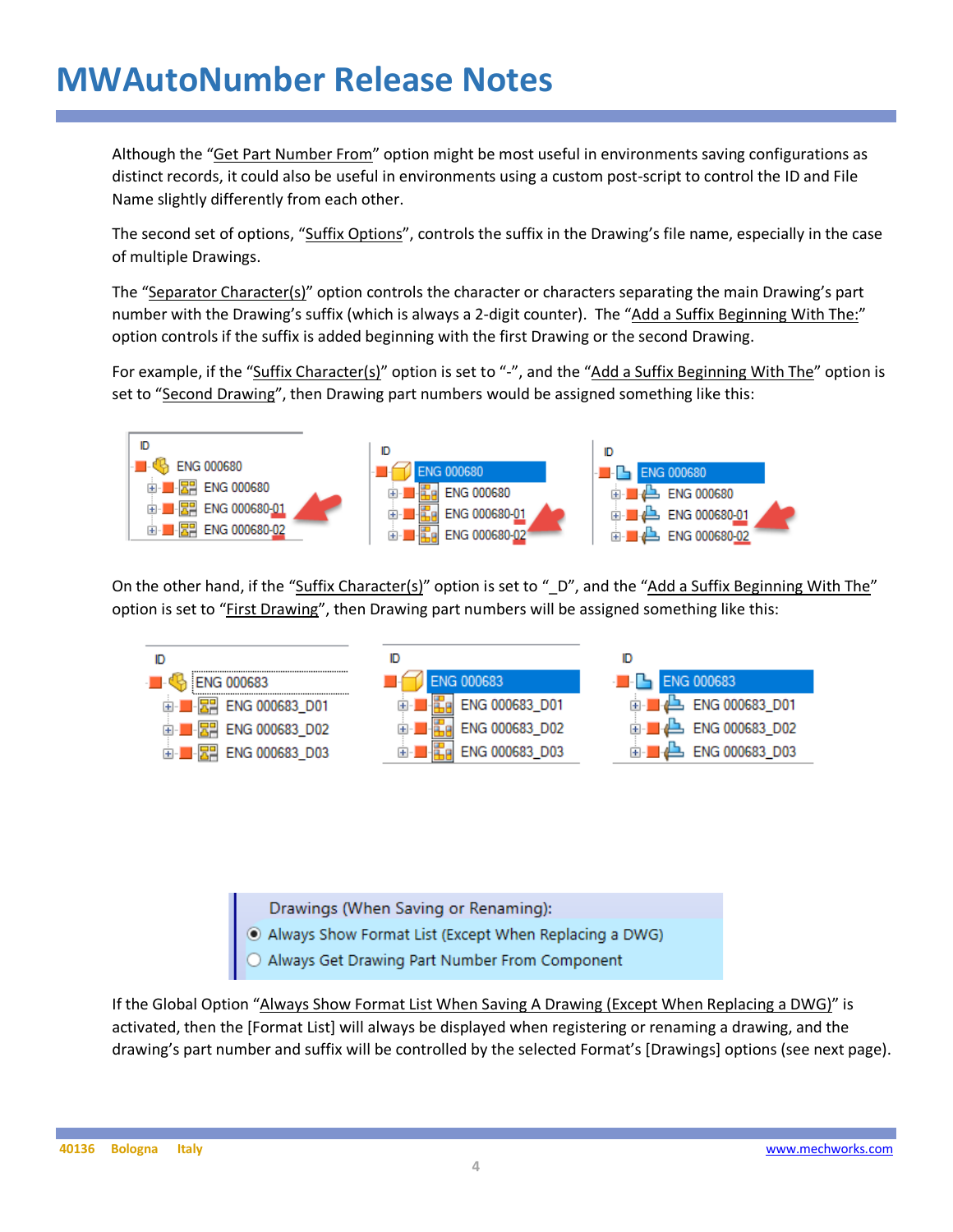Although the "Get Part Number From" option might be most useful in environments saving configurations as distinct records, it could also be useful in environments using a custom post-script to control the ID and File Name slightly differently from each other.

The second set of options, "Suffix Options", controls the suffix in the Drawing's file name, especially in the case of multiple Drawings.

The "Separator Character(s)" option controls the character or characters separating the main Drawing's part number with the Drawing's suffix (which is always a 2-digit counter). The "Add a Suffix Beginning With The:" option controls if the suffix is added beginning with the first Drawing or the second Drawing.

For example, if the "Suffix Character(s)" option is set to "-", and the "Add a Suffix Beginning With The" option is set to "Second Drawing", then Drawing part numbers would be assigned something like this:



On the other hand, if the "Suffix Character(s)" option is set to "\_D", and the "Add a Suffix Beginning With The" option is set to "First Drawing", then Drawing part numbers will be assigned something like this:



Drawings (When Saving or Renaming):

- Always Show Format List (Except When Replacing a DWG)<br>• Always Get Drawing Part Number From Component
- 

If the Global Option "Always Show Format List When Saving A Drawing (Except When Replacing a DWG)" is activated, then the [Format List] will always be displayed when registering or renaming a drawing, and the drawing's part number and suffix will be controlled by the selected Format's [Drawings] options (see next page).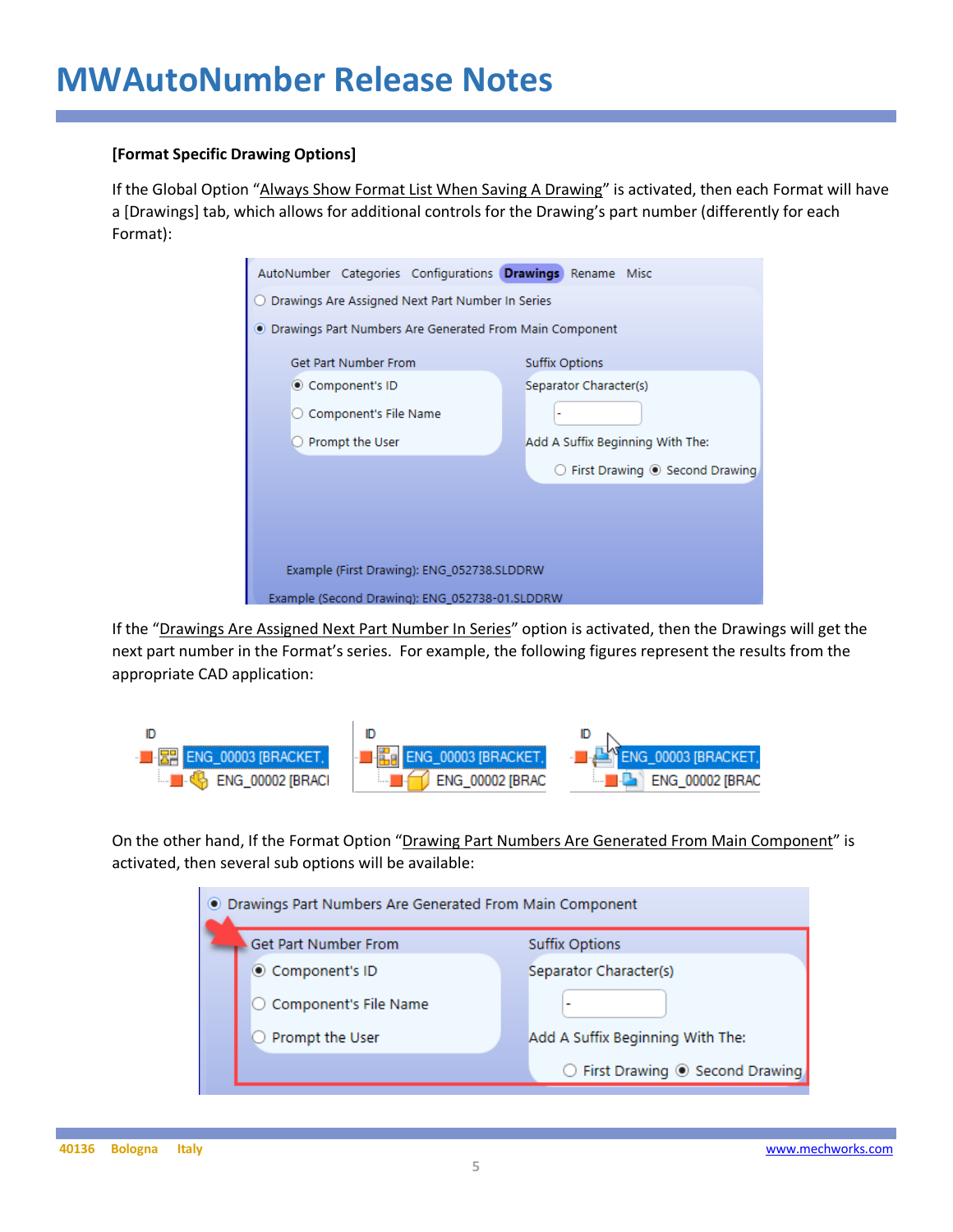#### **[Format Specific Drawing Options]**

If the Global Option "Always Show Format List When Saving A Drawing" is activated, then each Format will have a [Drawings] tab, which allows for additional controls for the Drawing's part number (differently for each Format):

| AutoNumber Categories Configurations Drawings Rename Misc |  |                       |                        |                                                        |  |  |  |  |  |
|-----------------------------------------------------------|--|-----------------------|------------------------|--------------------------------------------------------|--|--|--|--|--|
| Drawings Are Assigned Next Part Number In Series          |  |                       |                        |                                                        |  |  |  |  |  |
| • Drawings Part Numbers Are Generated From Main Component |  |                       |                        |                                                        |  |  |  |  |  |
| Get Part Number From                                      |  | <b>Suffix Options</b> |                        |                                                        |  |  |  |  |  |
| ◎ Component's ID                                          |  |                       | Separator Character(s) |                                                        |  |  |  |  |  |
| ○ Component's File Name                                   |  |                       |                        |                                                        |  |  |  |  |  |
| Prompt the User                                           |  |                       |                        | Add A Suffix Beginning With The:                       |  |  |  |  |  |
|                                                           |  |                       |                        | $\bigcirc$ First Drawing $\circledcirc$ Second Drawing |  |  |  |  |  |
|                                                           |  |                       |                        |                                                        |  |  |  |  |  |
|                                                           |  |                       |                        |                                                        |  |  |  |  |  |
|                                                           |  |                       |                        |                                                        |  |  |  |  |  |
| Example (First Drawing): ENG_052738.SLDDRW                |  |                       |                        |                                                        |  |  |  |  |  |
| Example (Second Drawing): ENG 052738-01.SLDDRW            |  |                       |                        |                                                        |  |  |  |  |  |

If the "Drawings Are Assigned Next Part Number In Series" option is activated, then the Drawings will get the next part number in the Format's series. For example, the following figures represent the results from the appropriate CAD application:



On the other hand, If the Format Option "Drawing Part Numbers Are Generated From Main Component" is activated, then several sub options will be available:

| O Drawings Part Numbers Are Generated From Main Component |                                  |  |  |  |  |  |
|-----------------------------------------------------------|----------------------------------|--|--|--|--|--|
| Get Part Number From                                      | <b>Suffix Options</b>            |  |  |  |  |  |
| Component's ID                                            | Separator Character(s)           |  |  |  |  |  |
| ○ Component's File Name                                   |                                  |  |  |  |  |  |
| Prompt the User                                           | Add A Suffix Beginning With The: |  |  |  |  |  |
|                                                           | ◯ First Drawing ◉ Second Drawing |  |  |  |  |  |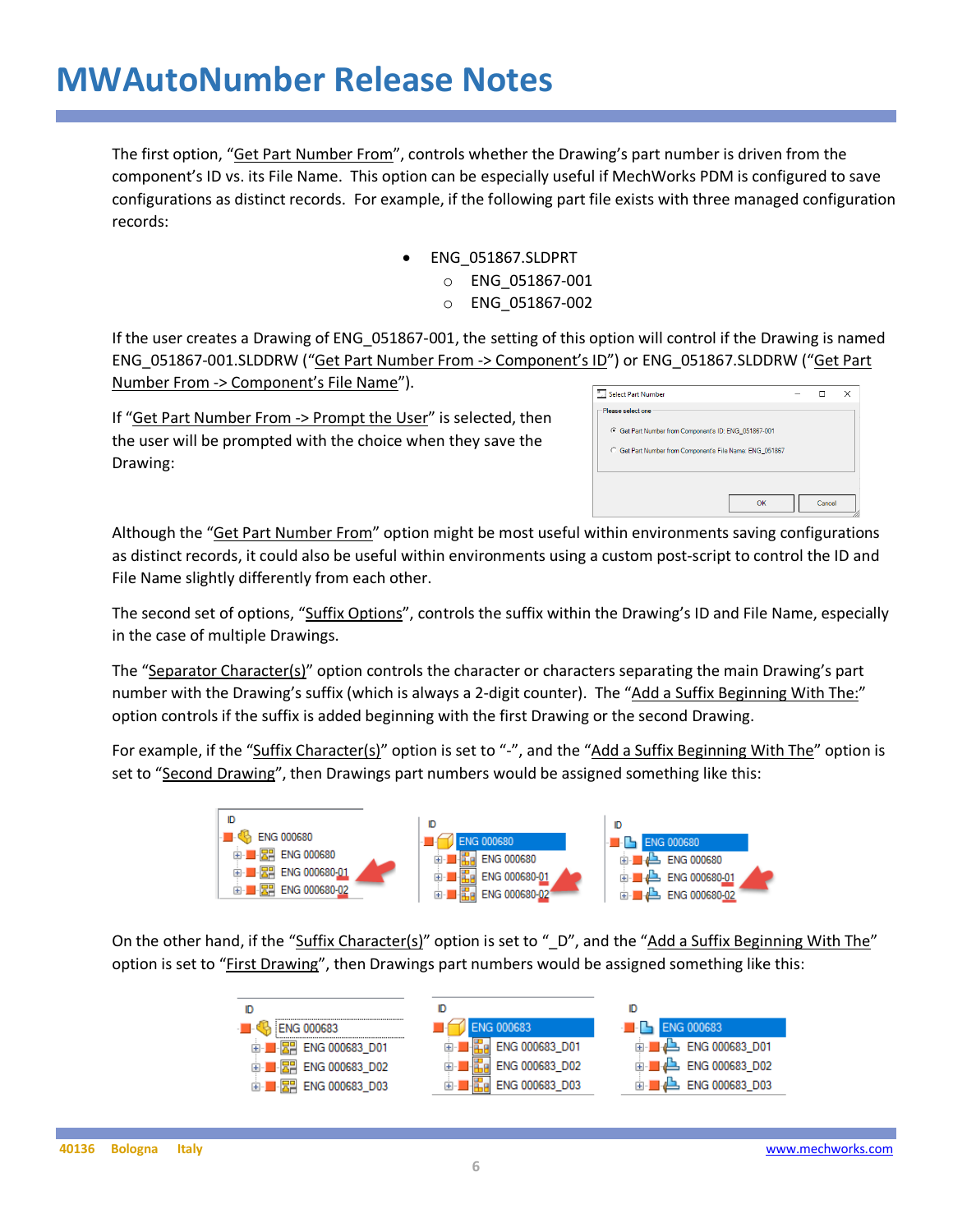The first option, "Get Part Number From", controls whether the Drawing's part number is driven from the component's ID vs. its File Name. This option can be especially useful if MechWorks PDM is configured to save configurations as distinct records. For example, if the following part file exists with three managed configuration records:

- ENG\_051867.SLDPRT
	- o ENG\_051867-001
	- o ENG\_051867-002

If the user creates a Drawing of ENG\_051867-001, the setting of this option will control if the Drawing is named ENG\_051867-001.SLDDRW ("Get Part Number From -> Component's ID") or ENG\_051867.SLDDRW ("Get Part Number From -> Component's File Name").

If "Get Part Number From -> Prompt the User" is selected, then the user will be prompted with the choice when they save the Drawing:

| Select Part Number                                       |    |        | × |
|----------------------------------------------------------|----|--------|---|
| Please selectione                                        |    |        |   |
| G Get Part Number from Component's ID: ENG_051867-001    |    |        |   |
| C Get Part Number from Component's File Name: ENG_051867 |    |        |   |
|                                                          |    |        |   |
|                                                          | OK | Cancel |   |

Although the "Get Part Number From" option might be most useful within environments saving configurations as distinct records, it could also be useful within environments using a custom post-script to control the ID and File Name slightly differently from each other.

The second set of options, "Suffix Options", controls the suffix within the Drawing's ID and File Name, especially in the case of multiple Drawings.

The "Separator Character(s)" option controls the character or characters separating the main Drawing's part number with the Drawing's suffix (which is always a 2-digit counter). The "Add a Suffix Beginning With The:" option controls if the suffix is added beginning with the first Drawing or the second Drawing.

For example, if the "Suffix Character(s)" option is set to "-", and the "Add a Suffix Beginning With The" option is set to "Second Drawing", then Drawings part numbers would be assigned something like this:



On the other hand, if the "Suffix Character(s)" option is set to "\_D", and the "Add a Suffix Beginning With The" option is set to "First Drawing", then Drawings part numbers would be assigned something like this:

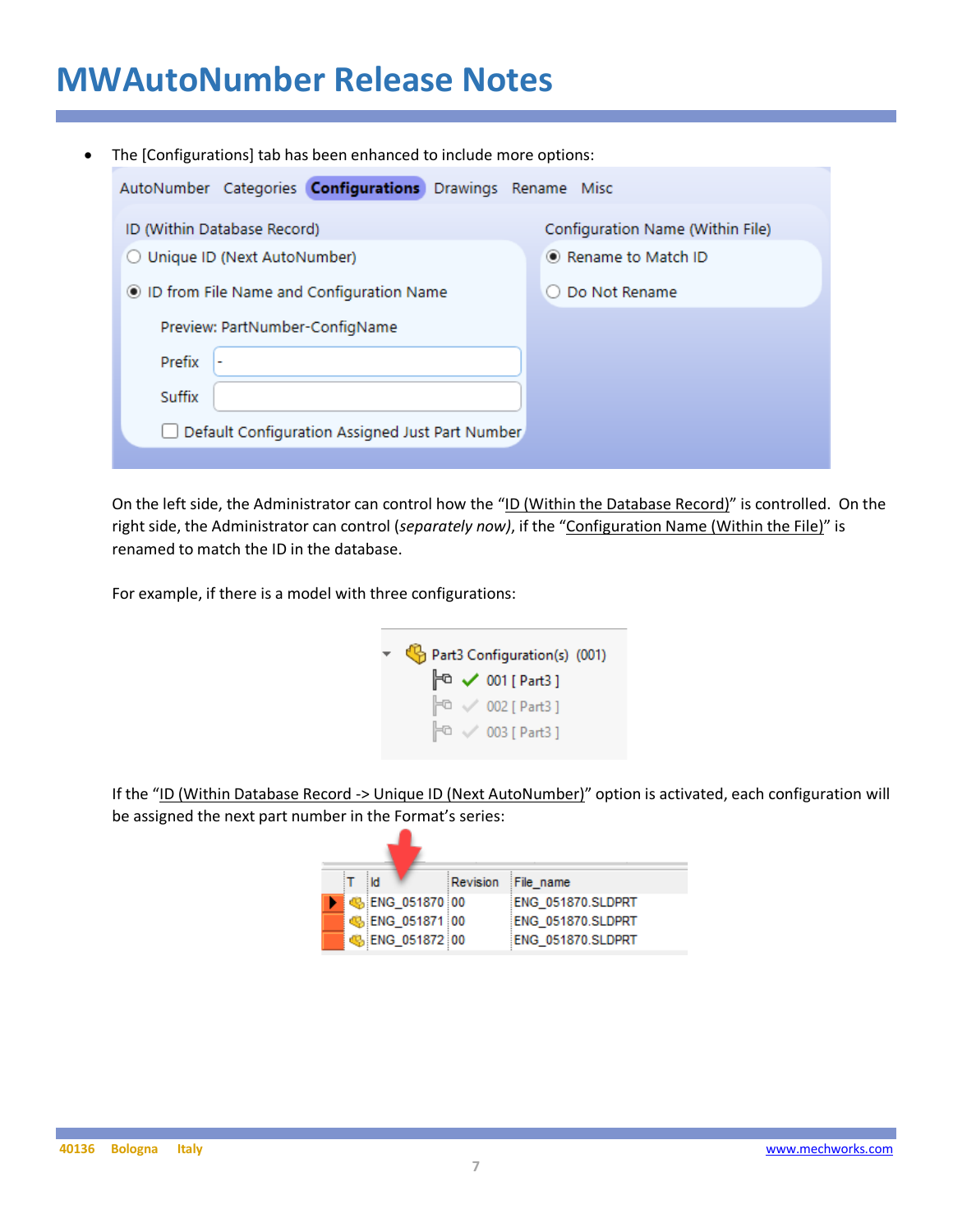| $\bullet$ | The [Configurations] tab has been enhanced to include more options: |                                  |
|-----------|---------------------------------------------------------------------|----------------------------------|
|           | AutoNumber Categories <b>Configurations</b> Drawings Rename Misc    |                                  |
|           | ID (Within Database Record)                                         | Configuration Name (Within File) |
|           | O Unique ID (Next AutoNumber)                                       | ◉ Rename to Match ID             |
|           | ID from File Name and Configuration Name                            | Do Not Rename                    |
|           | Preview: PartNumber-ConfigName                                      |                                  |
|           | Prefix                                                              |                                  |
|           | Suffix                                                              |                                  |
|           | Default Configuration Assigned Just Part Number                     |                                  |
|           |                                                                     |                                  |

On the left side, the Administrator can control how the "ID (Within the Database Record)" is controlled. On the right side, the Administrator can control (*separately now)*, if the "Configuration Name (Within the File)" is renamed to match the ID in the database.

For example, if there is a model with three configurations:

|  | Part3 Configuration(s) (001)<br>$\approx$ 001 [ Part3 ]<br>$\mathbb{P}^{\mathbb{O}} \vee 002$ [ Part3 ]<br>$\mathbb{P}^{\Box}$ $\vee$ 003 [ Part3 ] |
|--|-----------------------------------------------------------------------------------------------------------------------------------------------------|

If the "ID (Within Database Record -> Unique ID (Next AutoNumber)" option is activated, each configuration will be assigned the next part number in the Format's series:

|  | ∥i |                         | Revision File name |                   |
|--|----|-------------------------|--------------------|-------------------|
|  |    | <b>45 ENG 051870 00</b> |                    | ENG 051870.SLDPRT |
|  |    | 6 ENG 051871 00         |                    | ENG 051870.SLDPRT |
|  |    | € ENG_051872 00         |                    | ENG 051870.SLDPRT |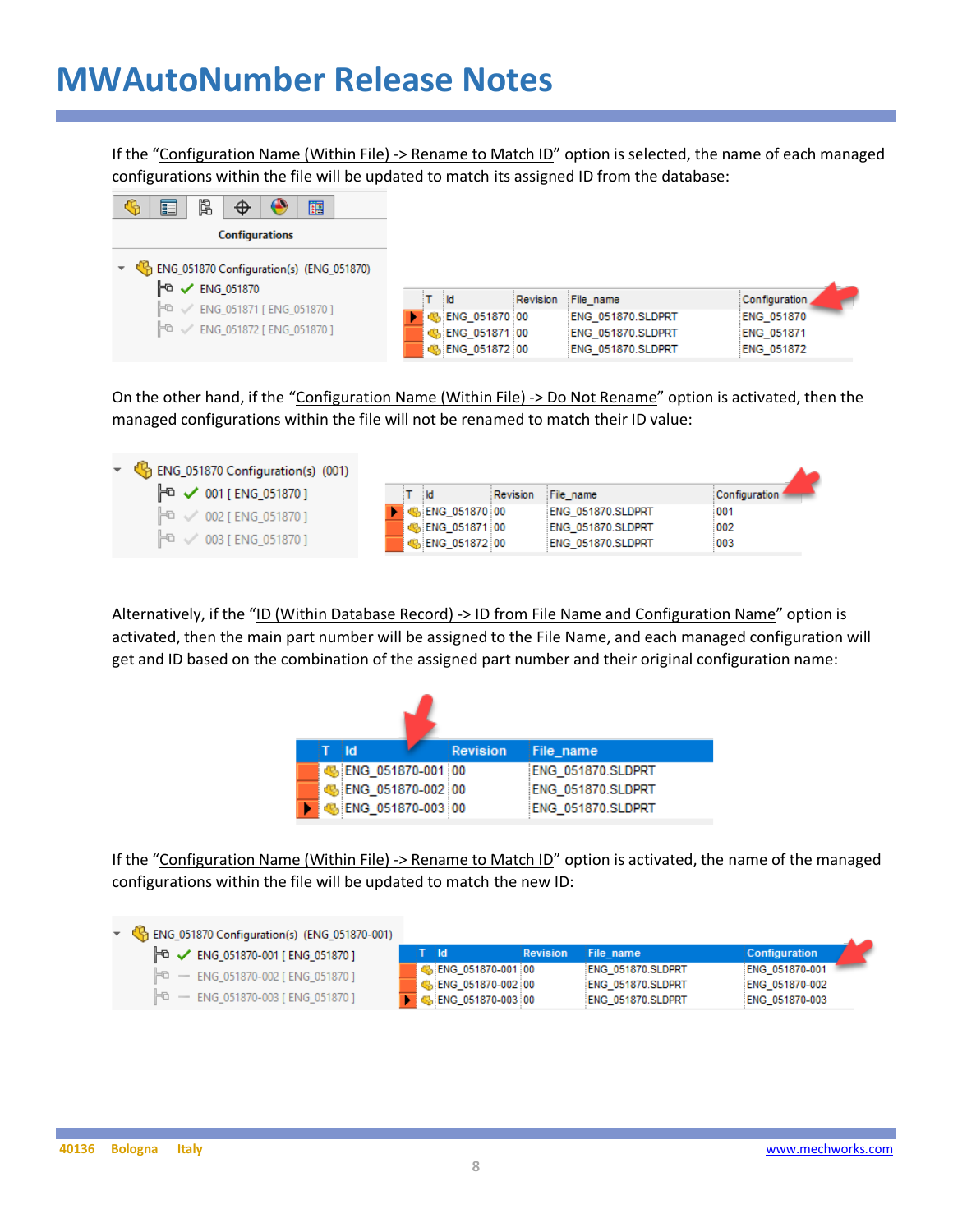If the "Configuration Name (Within File) -> Rename to Match ID" option is selected, the name of each managed configurations within the file will be updated to match its assigned ID from the database:

| b<br>畐<br>瞦<br>$\bullet$<br>$\Phi$                                  |                        |                       |                   |
|---------------------------------------------------------------------|------------------------|-----------------------|-------------------|
| <b>Configurations</b>                                               |                        |                       |                   |
| ENG_051870 Configuration(s) (ENG_051870)<br>⊧ਾ<br><b>ENG 051870</b> |                        |                       |                   |
| $\mathbb{P}^{\Box} \checkmark$ ENG_051871 [ENG_051870 ]             | ∃ld                    | Revision<br>File_name | Configuration     |
|                                                                     | <b>B</b> ENG 051870 00 | ENG 051870.SLDPRT     | <b>ENG 051870</b> |
| $F0$ $\checkmark$ ENG_051872 [ENG_051870 ]                          | BENG 051871 00         | ENG_051870.SLDPRT     | <b>ENG 051871</b> |
|                                                                     | ₿ ENG_051872 00        | ENG 051870.SLDPRT     | ENG_051872        |

On the other hand, if the "Configuration Name (Within File) -> Do Not Rename" option is activated, then the managed configurations within the file will not be renamed to match their ID value:

| $\sqrt{\frac{1}{2}}$ ENG_051870 Configuration(s) (001) |     |                                            |                   |               |  |
|--------------------------------------------------------|-----|--------------------------------------------|-------------------|---------------|--|
| F < 001 [ ENG_051870 ]                                 | ∃ld | Revision                                   | File name         | Configuration |  |
| $\mathbb{P}^{\mathbb{G}}$ $\vee$ 002 [ ENG_051870 ]    |     | $\frac{1}{2}$ C <sub>2</sub> ENG 051870 00 | ENG 051870.SLDPRT | :001          |  |
|                                                        |     | SENG 051871 00                             | ENG 051870.SLDPRT | 002           |  |
| $\mathbb{P}^{\mathbb{C}}$ $\vee$ 003 [ENG_051870 ]     |     | SENG 051872 00                             | ENG 051870.SLDPRT | 003           |  |

Alternatively, if the "ID (Within Database Record) -> ID from File Name and Configuration Name" option is activated, then the main part number will be assigned to the File Name, and each managed configuration will get and ID based on the combination of the assigned part number and their original configuration name:

|  | i Id. |                       | <b>Revision</b> | File name         |
|--|-------|-----------------------|-----------------|-------------------|
|  |       | SENG 051870-001 00    |                 | ENG 051870.SLDPRT |
|  |       | Co. ENG_051870-002 00 |                 | ENG_051870.SLDPRT |
|  |       | BIENG_051870-003 00   |                 | ENG 051870.SLDPRT |

If the "Configuration Name (Within File) -> Rename to Match ID" option is activated, the name of the managed configurations within the file will be updated to match the new ID:

| ▼ G ENG_051870 Configuration(s) (ENG_051870-001)                    |                                            |                 |                                        |                                  |
|---------------------------------------------------------------------|--------------------------------------------|-----------------|----------------------------------------|----------------------------------|
| $\mathbb{F}^{\mathbb{G}}$ $\checkmark$ ENG_051870-001 [ENG_051870 ] | ात                                         | <b>Revision</b> | File name                              | <b>Configuration</b>             |
| $F0$ - ENG 051870-002 [ ENG 051870 ]                                | B ENG 051870-001 00<br>BiENG 051870-002 00 |                 | ENG 051870.SLDPRT<br>ENG 051870.SLDPRT | ENG 051870-001<br>ENG 051870-002 |
| $F0$ - ENG 051870-003 [ENG 051870 ]                                 | BENG_051870-003 00                         |                 | ENG 051870.SLDPRT                      | ENG 051870-003                   |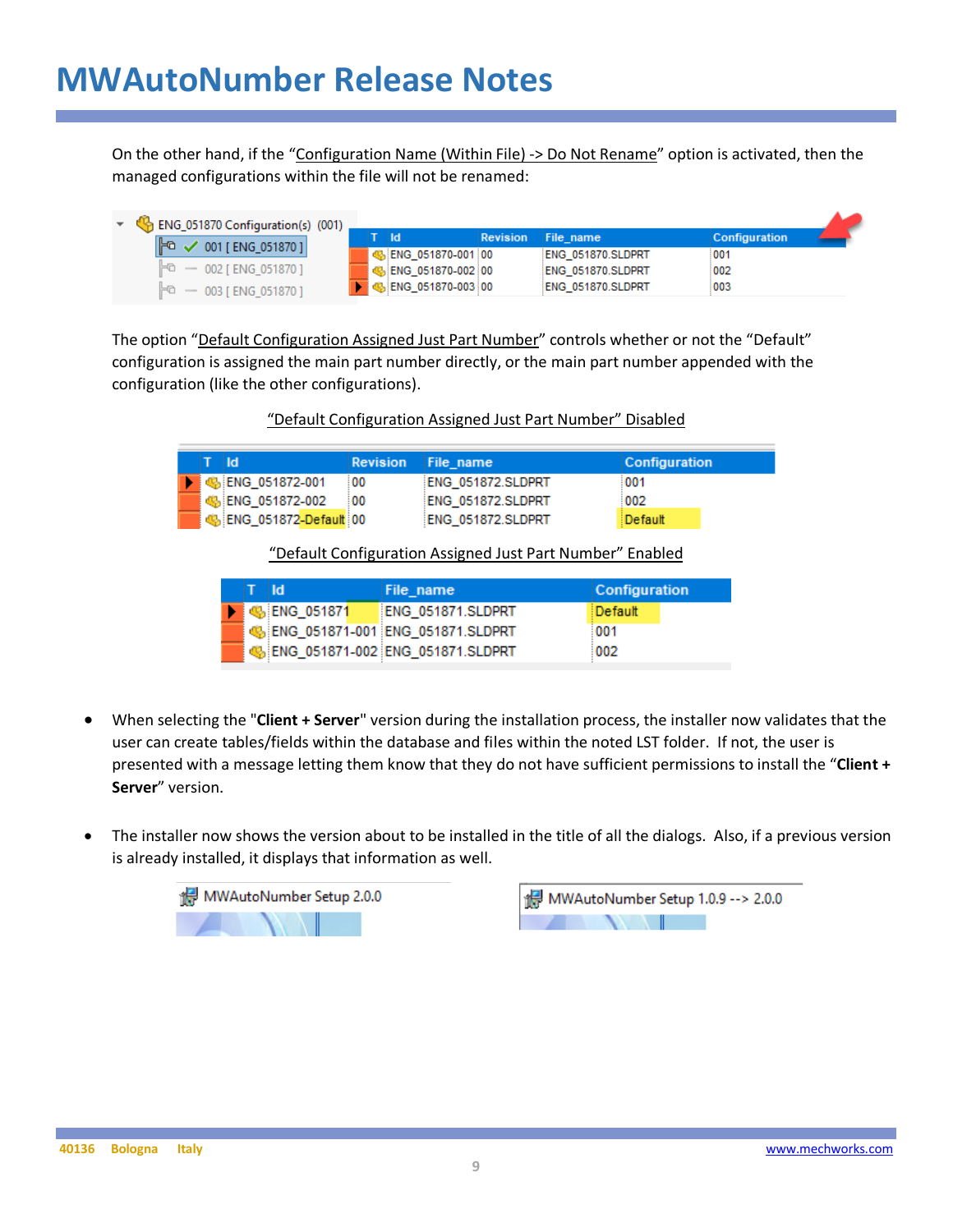On the other hand, if the "Configuration Name (Within File) -> Do Not Rename" option is activated, then the managed configurations within the file will not be renamed:

| B ENG_051870 Configuration(s) (001) |  |                     |                 |                   |                      |
|-------------------------------------|--|---------------------|-----------------|-------------------|----------------------|
| $F^a \smile 001$ [ ENG_051870 ]     |  | - Ild               | <b>Revision</b> | File name         | <b>Configuration</b> |
|                                     |  | ENG 051870-001 00   |                 | ENG 051870.SLDPRT | 001                  |
| $F0$ - 002 [ ENG 051870 ]           |  | ENG 051870-002 00   |                 | ENG 051870.SLDPRT | 002                  |
| $F_0 - 003$ [ ENG 051870 ]          |  | b ENG 051870-003 00 |                 | ENG 051870.SLDPRT | 003                  |

The option "Default Configuration Assigned Just Part Number" controls whether or not the "Default" configuration is assigned the main part number directly, or the main part number appended with the configuration (like the other configurations).

| "Default Configuration Assigned Just Part Number" Disabled |
|------------------------------------------------------------|
|------------------------------------------------------------|

| iT ildi |                           | <b>Revision</b> File name |                   | <b>Configuration</b> |
|---------|---------------------------|---------------------------|-------------------|----------------------|
|         | <b>4</b> : ENG 051872-001 | :00                       | ENG 051872.SLDPRT | :001                 |
|         | Se ENG 051872-002         | 100                       | ENG 051872.SLDPRT | 002                  |
|         | े № ENG_051872-Default 00 |                           | ENG 051872.SLDPRT | Default              |

"Default Configuration Assigned Just Part Number" Enabled

| i⊤ ildi |                      | File name                           | <b>Configuration</b> |
|---------|----------------------|-------------------------------------|----------------------|
|         | $\bigcup$ ENG 051871 | ENG 051871.SLDPRT                   | ∃Default             |
|         |                      | ENG_051871-001 ENG_051871.SLDPRT    | 001                  |
|         |                      | 66 ENG_051871-002 ENG_051871.SLDPRT | 002                  |

- When selecting the "**Client + Server**" version during the installation process, the installer now validates that the user can create tables/fields within the database and files within the noted LST folder. If not, the user is presented with a message letting them know that they do not have sufficient permissions to install the "**Client + Server**" version.
- The installer now shows the version about to be installed in the title of all the dialogs. Also, if a previous version is already installed, it displays that information as well.



MWAutoNumber Setup 1.0.9 --> 2.0.0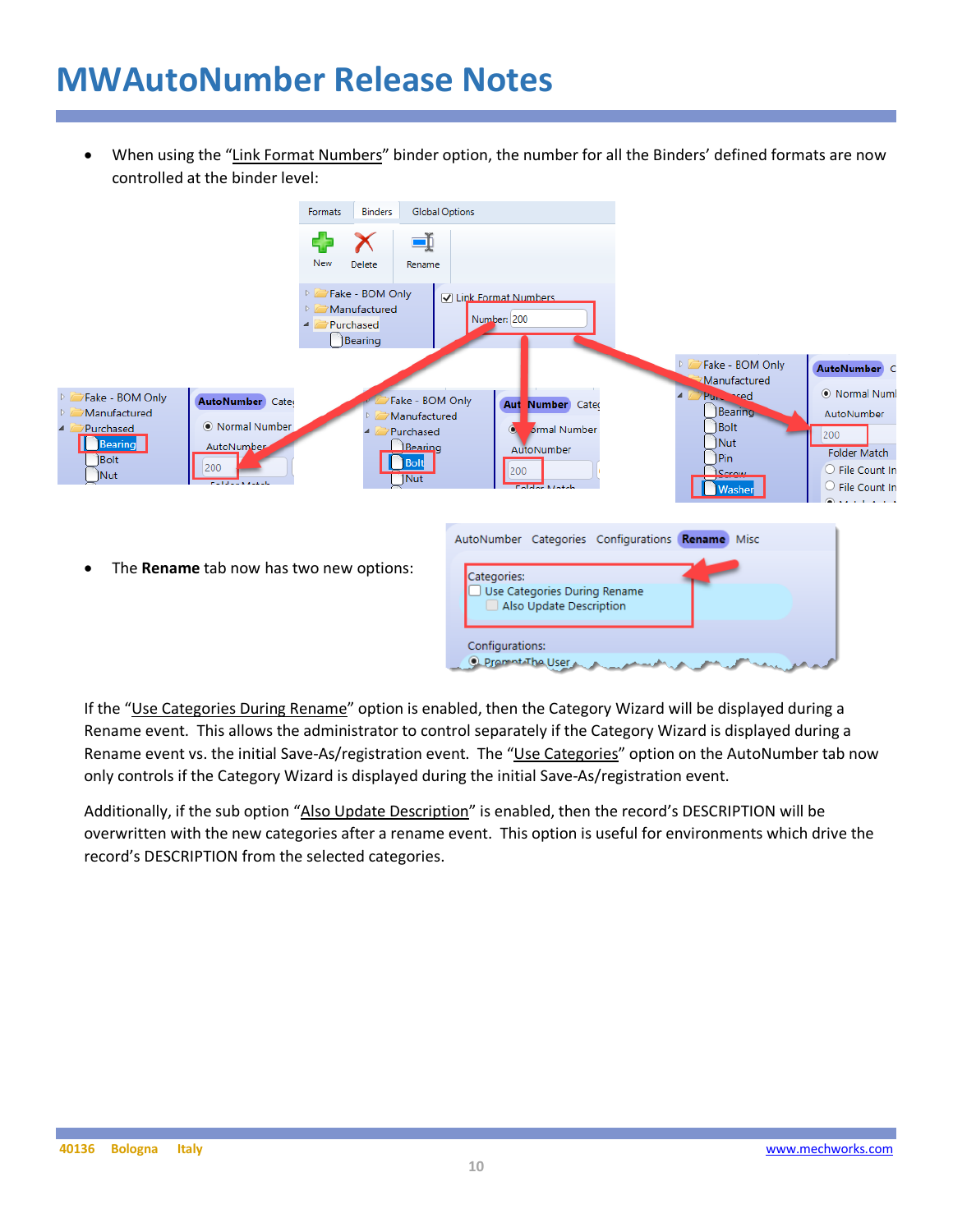• When using the "Link Format Numbers" binder option, the number for all the Binders' defined formats are now controlled at the binder level:



If the "Use Categories During Rename" option is enabled, then the Category Wizard will be displayed during a Rename event. This allows the administrator to control separately if the Category Wizard is displayed during a Rename event vs. the initial Save-As/registration event. The "Use Categories" option on the AutoNumber tab now only controls if the Category Wizard is displayed during the initial Save-As/registration event.

Additionally, if the sub option "Also Update Description" is enabled, then the record's DESCRIPTION will be overwritten with the new categories after a rename event. This option is useful for environments which drive the record's DESCRIPTION from the selected categories.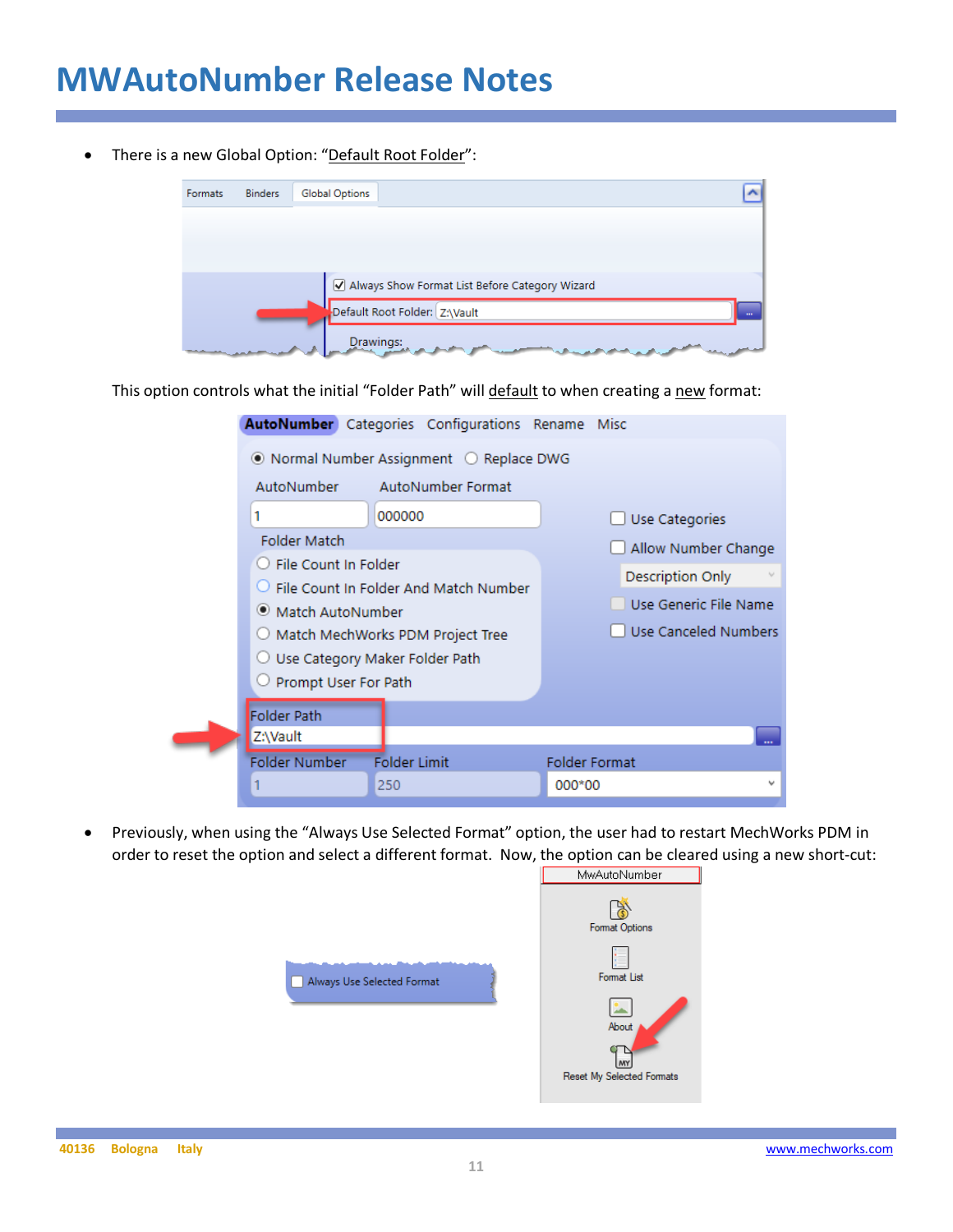There is a new Global Option: "Default Root Folder":



This option controls what the initial "Folder Path" will default to when creating a new format:

|                                                                    | AutoNumber Categories Configurations Rename Misc |        |                         |  |  |  |  |  |
|--------------------------------------------------------------------|--------------------------------------------------|--------|-------------------------|--|--|--|--|--|
| $\bullet$ Normal Number Assignment $\circlearrowright$ Replace DWG |                                                  |        |                         |  |  |  |  |  |
| AutoNumber                                                         | AutoNumber Format                                |        |                         |  |  |  |  |  |
| 1                                                                  | 000000                                           |        | Use Categories          |  |  |  |  |  |
| <b>Folder Match</b>                                                |                                                  |        | Allow Number Change     |  |  |  |  |  |
| ○ File Count In Folder                                             | $\bigcirc$ File Count In Folder And Match Number |        | <b>Description Only</b> |  |  |  |  |  |
| ● Match AutoNumber                                                 |                                                  |        | Use Generic File Name   |  |  |  |  |  |
|                                                                    | O Match MechWorks PDM Project Tree               |        | Use Canceled Numbers    |  |  |  |  |  |
| ○ Use Category Maker Folder Path                                   |                                                  |        |                         |  |  |  |  |  |
| $\cup$ Prompt User For Path                                        |                                                  |        |                         |  |  |  |  |  |
| <b>Folder Path</b><br>Z:\Vault                                     |                                                  |        |                         |  |  |  |  |  |
| Folder Number                                                      | <b>Folder Limit</b>                              |        | <b>Folder Format</b>    |  |  |  |  |  |
|                                                                    | 250                                              | 000*00 |                         |  |  |  |  |  |

• Previously, when using the "Always Use Selected Format" option, the user had to restart MechWorks PDM in order to reset the option and select a different format. Now, the option can be cleared using a new short-cut:<br>
I MwAutoNumber



ß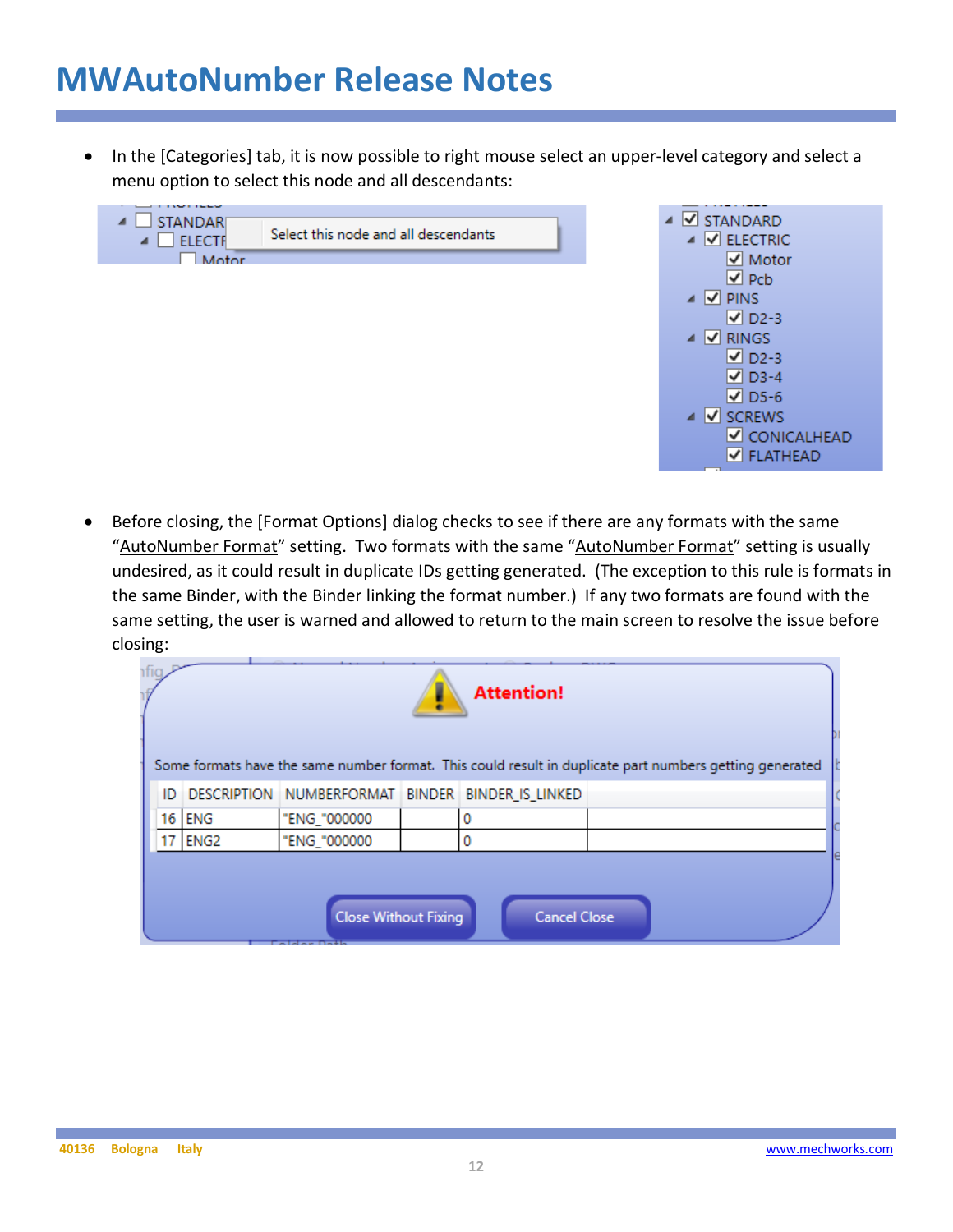In the [Categories] tab, it is now possible to right mouse select an upper-level category and select a menu option to select this node and all descendants:





• Before closing, the [Format Options] dialog checks to see if there are any formats with the same "AutoNumber Format" setting. Two formats with the same "AutoNumber Format" setting is usually undesired, as it could result in duplicate IDs getting generated. (The exception to this rule is formats in the same Binder, with the Binder linking the format number.) If any two formats are found with the same setting, the user is warned and allowed to return to the main screen to resolve the issue before closing:

|                                                    |          |              |  | <b>Attention!</b>                                   |                                                                                                         |  |
|----------------------------------------------------|----------|--------------|--|-----------------------------------------------------|---------------------------------------------------------------------------------------------------------|--|
|                                                    |          |              |  |                                                     | Some formats have the same number format. This could result in duplicate part numbers getting generated |  |
|                                                    |          |              |  | ID DESCRIPTION NUMBERFORMAT BINDER BINDER IS LINKED |                                                                                                         |  |
|                                                    | 16   ENG | "ENG_"000000 |  | 0                                                   |                                                                                                         |  |
|                                                    | 17 ENG2  | "ENG_"000000 |  | 0                                                   |                                                                                                         |  |
|                                                    |          |              |  |                                                     |                                                                                                         |  |
| <b>Close Without Fixing</b><br><b>Cancel Close</b> |          |              |  |                                                     |                                                                                                         |  |
|                                                    |          |              |  |                                                     |                                                                                                         |  |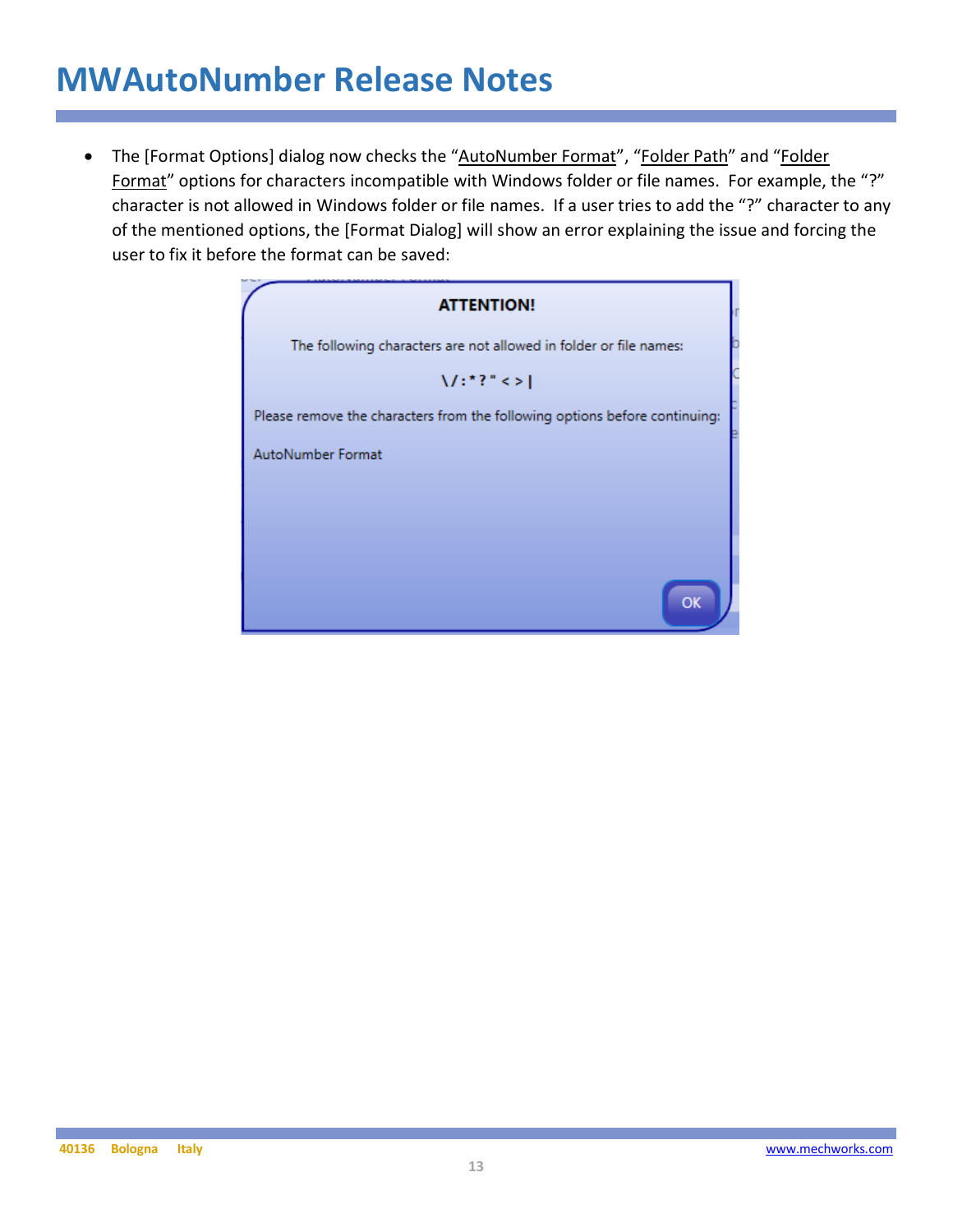• The [Format Options] dialog now checks the "AutoNumber Format", "Folder Path" and "Folder Format" options for characters incompatible with Windows folder or file names. For example, the "?" character is not allowed in Windows folder or file names. If a user tries to add the "?" character to any of the mentioned options, the [Format Dialog] will show an error explaining the issue and forcing the user to fix it before the format can be saved:

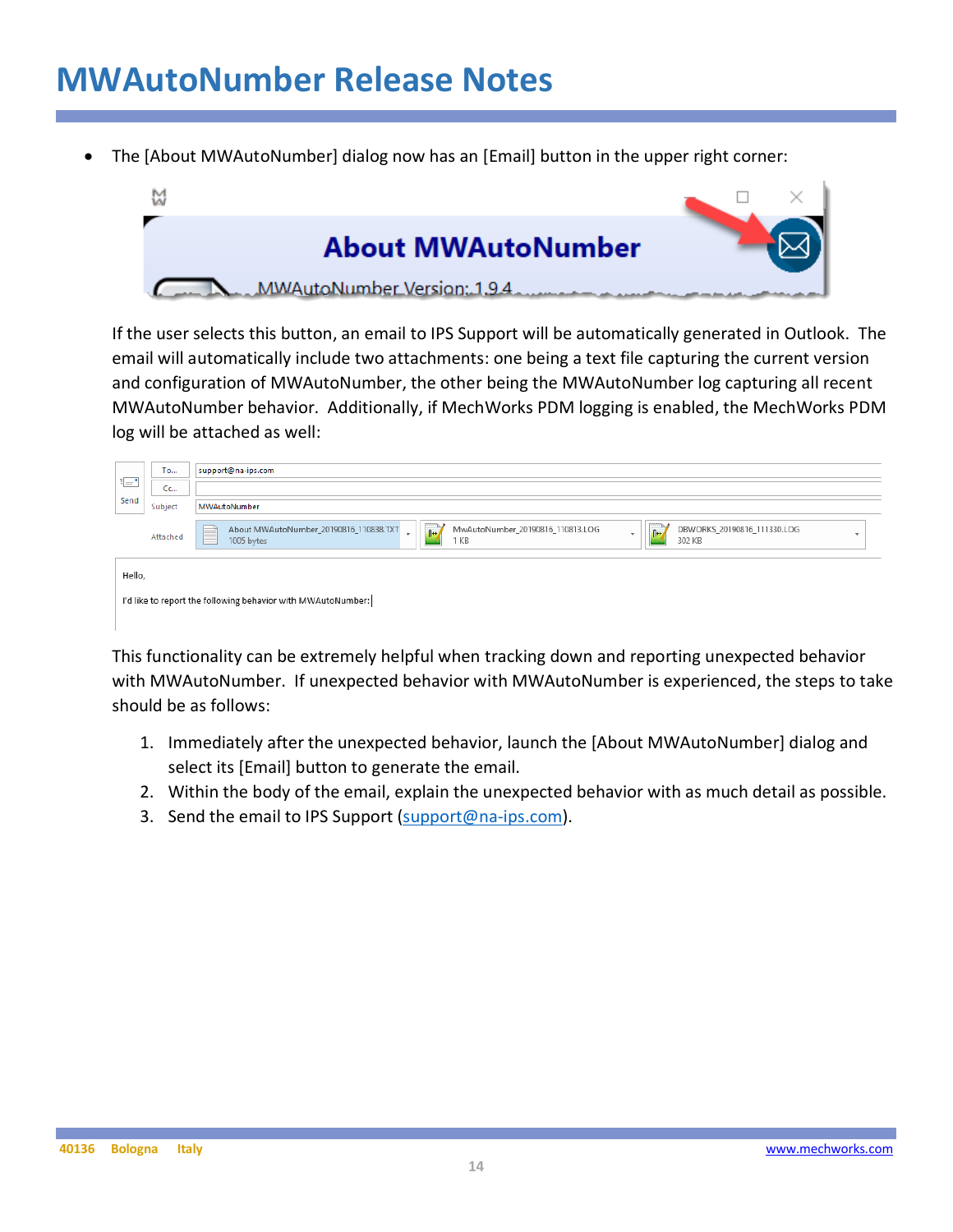• The [About MWAutoNumber] dialog now has an [Email] button in the upper right corner:



If the user selects this button, an email to IPS Support will be automatically generated in Outlook. The email will automatically include two attachments: one being a text file capturing the current version and configuration of MWAutoNumber, the other being the MWAutoNumber log capturing all recent MWAutoNumber behavior. Additionally, if MechWorks PDM logging is enabled, the MechWorks PDM log will be attached as well:

|        | <b>To</b>                                                    | support@na-ips.com                                                                                                                                                                               |  |  |  |  |  |
|--------|--------------------------------------------------------------|--------------------------------------------------------------------------------------------------------------------------------------------------------------------------------------------------|--|--|--|--|--|
| 非一     | Cc                                                           |                                                                                                                                                                                                  |  |  |  |  |  |
| Send   | Subject                                                      | MWAutoNumber                                                                                                                                                                                     |  |  |  |  |  |
|        | Attached                                                     | MwAutoNumber_20190816_110813.LOG<br>DBWORKS_20190816_111330.LOG<br>About MWAutoNumber_20190816_110838.TXT<br>$0 + 7$<br>⋿<br>$n_{++}$<br>$\sim$<br>٠<br>--<br>L.<br>1 KB<br>302 KB<br>1005 bytes |  |  |  |  |  |
| Hello, |                                                              |                                                                                                                                                                                                  |  |  |  |  |  |
|        | I'd like to report the following behavior with MWAutoNumber: |                                                                                                                                                                                                  |  |  |  |  |  |

This functionality can be extremely helpful when tracking down and reporting unexpected behavior with MWAutoNumber. If unexpected behavior with MWAutoNumber is experienced, the steps to take should be as follows:

- 1. Immediately after the unexpected behavior, launch the [About MWAutoNumber] dialog and select its [Email] button to generate the email.
- 2. Within the body of the email, explain the unexpected behavior with as much detail as possible.
- 3. Send the email to IPS Support (support@na-ips.com).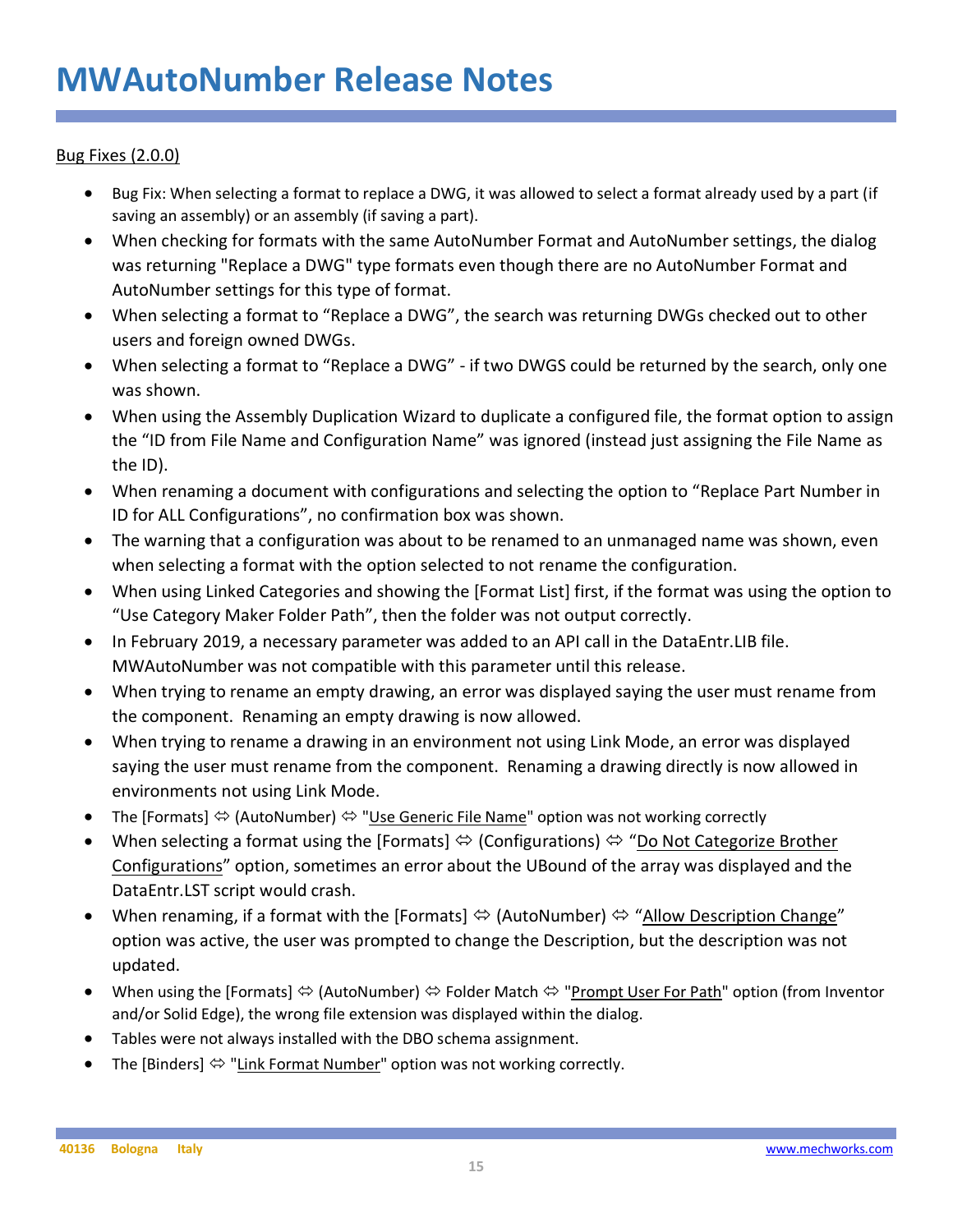#### Bug Fixes (2.0.0)

- Bug Fix: When selecting a format to replace a DWG, it was allowed to select a format already used by a part (if saving an assembly) or an assembly (if saving a part).
- When checking for formats with the same AutoNumber Format and AutoNumber settings, the dialog was returning "Replace a DWG" type formats even though there are no AutoNumber Format and AutoNumber settings for this type of format.
- When selecting a format to "Replace a DWG", the search was returning DWGs checked out to other users and foreign owned DWGs.
- When selecting a format to "Replace a DWG" if two DWGS could be returned by the search, only one was shown.
- When using the Assembly Duplication Wizard to duplicate a configured file, the format option to assign the "ID from File Name and Configuration Name" was ignored (instead just assigning the File Name as the ID).
- When renaming a document with configurations and selecting the option to "Replace Part Number in ID for ALL Configurations", no confirmation box was shown.
- The warning that a configuration was about to be renamed to an unmanaged name was shown, even when selecting a format with the option selected to not rename the configuration.
- When using Linked Categories and showing the [Format List] first, if the format was using the option to "Use Category Maker Folder Path", then the folder was not output correctly.
- In February 2019, a necessary parameter was added to an API call in the DataEntr.LIB file. MWAutoNumber was not compatible with this parameter until this release.
- When trying to rename an empty drawing, an error was displayed saying the user must rename from the component. Renaming an empty drawing is now allowed.
- When trying to rename a drawing in an environment not using Link Mode, an error was displayed saying the user must rename from the component. Renaming a drawing directly is now allowed in environments not using Link Mode.
- The [Formats]  $\Leftrightarrow$  (AutoNumber)  $\Leftrightarrow$  "Use Generic File Name" option was not working correctly
- When selecting a format using the [Formats]  $\Leftrightarrow$  (Configurations)  $\Leftrightarrow$  "Do Not Categorize Brother Configurations" option, sometimes an error about the UBound of the array was displayed and the DataEntr.LST script would crash.
- When renaming, if a format with the [Formats]  $\Leftrightarrow$  (AutoNumber)  $\Leftrightarrow$  "Allow Description Change" option was active, the user was prompted to change the Description, but the description was not updated.
- When using the [Formats]  $\Leftrightarrow$  (AutoNumber)  $\Leftrightarrow$  Folder Match  $\Leftrightarrow$  "Prompt User For Path" option (from Inventor and/or Solid Edge), the wrong file extension was displayed within the dialog.
- Tables were not always installed with the DBO schema assignment.
- The [Binders]  $\Leftrightarrow$  "Link Format Number" option was not working correctly.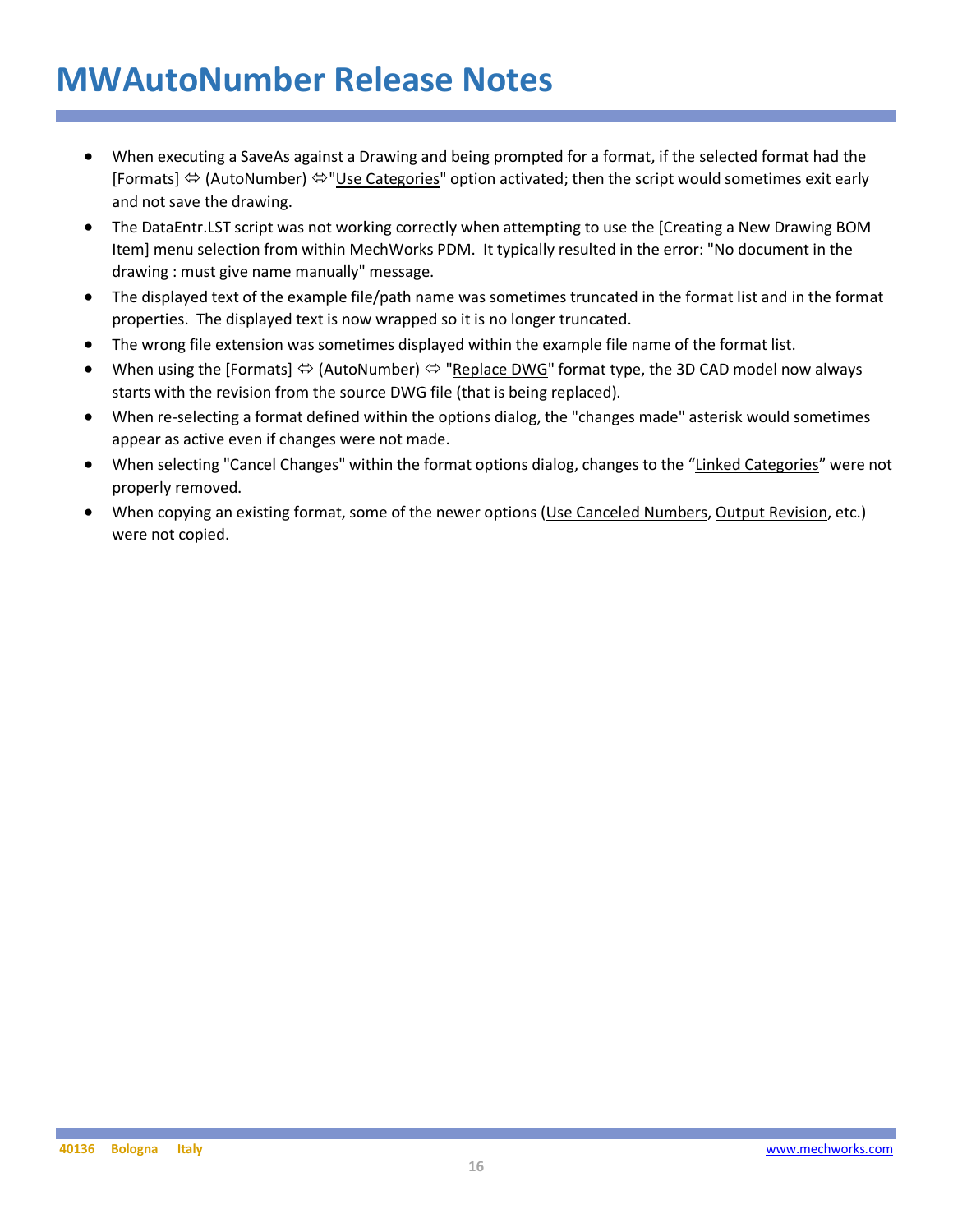- When executing a SaveAs against a Drawing and being prompted for a format, if the selected format had the [Formats]  $\Leftrightarrow$  (AutoNumber)  $\Leftrightarrow$  "Use Categories" option activated; then the script would sometimes exit early and not save the drawing.
- The DataEntr.LST script was not working correctly when attempting to use the [Creating a New Drawing BOM Item] menu selection from within MechWorks PDM. It typically resulted in the error: "No document in the drawing : must give name manually" message.
- The displayed text of the example file/path name was sometimes truncated in the format list and in the format properties. The displayed text is now wrapped so it is no longer truncated.
- The wrong file extension was sometimes displayed within the example file name of the format list.
- When using the [Formats]  $\Leftrightarrow$  (AutoNumber)  $\Leftrightarrow$  "Replace DWG" format type, the 3D CAD model now always starts with the revision from the source DWG file (that is being replaced).
- When re-selecting a format defined within the options dialog, the "changes made" asterisk would sometimes appear as active even if changes were not made.
- When selecting "Cancel Changes" within the format options dialog, changes to the "Linked Categories" were not properly removed.
- When copying an existing format, some of the newer options (Use Canceled Numbers, Output Revision, etc.) were not copied.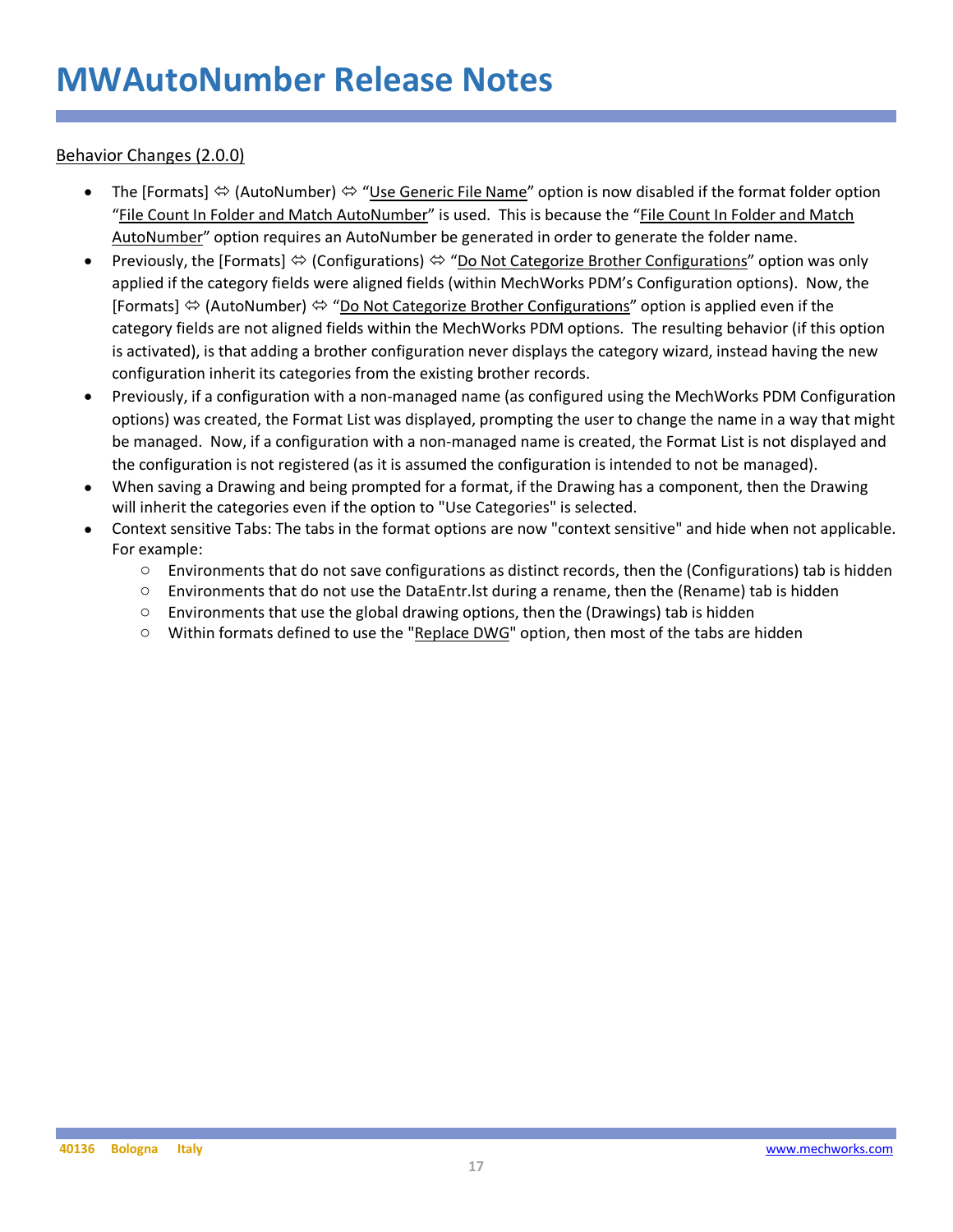Behavior Changes (2.0.0)

- The [Formats]  $\Leftrightarrow$  (AutoNumber)  $\Leftrightarrow$  "Use Generic File Name" option is now disabled if the format folder option "File Count In Folder and Match AutoNumber" is used. This is because the "File Count In Folder and Match AutoNumber" option requires an AutoNumber be generated in order to generate the folder name.
- Previously, the [Formats]  $\Leftrightarrow$  (Configurations)  $\Leftrightarrow$  "Do Not Categorize Brother Configurations" option was only applied if the category fields were aligned fields (within MechWorks PDM's Configuration options). Now, the [Formats]  $\Leftrightarrow$  (AutoNumber)  $\Leftrightarrow$  "Do Not Categorize Brother Configurations" option is applied even if the category fields are not aligned fields within the MechWorks PDM options. The resulting behavior (if this option is activated), is that adding a brother configuration never displays the category wizard, instead having the new configuration inherit its categories from the existing brother records.
- Previously, if a configuration with a non-managed name (as configured using the MechWorks PDM Configuration options) was created, the Format List was displayed, prompting the user to change the name in a way that might be managed. Now, if a configuration with a non-managed name is created, the Format List is not displayed and the configuration is not registered (as it is assumed the configuration is intended to not be managed).
- When saving a Drawing and being prompted for a format, if the Drawing has a component, then the Drawing will inherit the categories even if the option to "Use Categories" is selected.
- Context sensitive Tabs: The tabs in the format options are now "context sensitive" and hide when not applicable. For example:
	- $\circ$  Environments that do not save configurations as distinct records, then the (Configurations) tab is hidden
	- $\circ$  Environments that do not use the DataEntr. Ist during a rename, then the (Rename) tab is hidden
	- $\circ$  Environments that use the global drawing options, then the (Drawings) tab is hidden
	- $\circ$  Within formats defined to use the "Replace DWG" option, then most of the tabs are hidden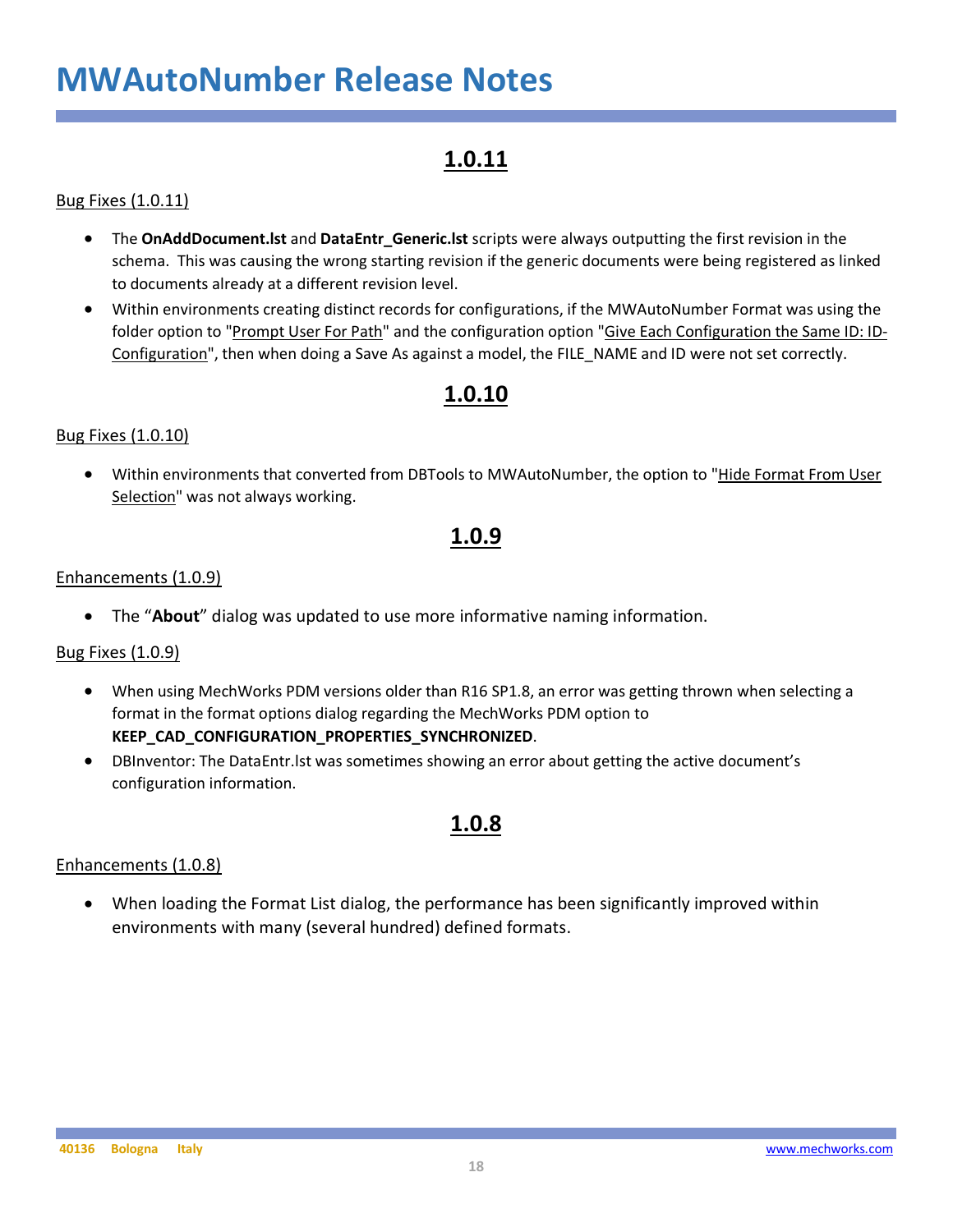### **1.0.11**

#### Bug Fixes (1.0.11)

- The **OnAddDocument.lst** and **DataEntr\_Generic.lst** scripts were always outputting the first revision in the schema. This was causing the wrong starting revision if the generic documents were being registered as linked to documents already at a different revision level.
- Within environments creating distinct records for configurations, if the MWAutoNumber Format was using the folder option to "Prompt User For Path" and the configuration option "Give Each Configuration the Same ID: ID-Configuration", then when doing a Save As against a model, the FILE\_NAME and ID were not set correctly.

### **1.0.10**

#### Bug Fixes (1.0.10)

• Within environments that converted from DBTools to MWAutoNumber, the option to "Hide Format From User Selection" was not always working.

### **1.0.9**

#### Enhancements (1.0.9)

• The "**About**" dialog was updated to use more informative naming information.

#### Bug Fixes (1.0.9)

- When using MechWorks PDM versions older than R16 SP1.8, an error was getting thrown when selecting a format in the format options dialog regarding the MechWorks PDM option to **KEEP\_CAD\_CONFIGURATION\_PROPERTIES\_SYNCHRONIZED**.
- DBInventor: The DataEntr.lst was sometimes showing an error about getting the active document's configuration information.

#### **1.0.8**

#### Enhancements (1.0.8)

• When loading the Format List dialog, the performance has been significantly improved within environments with many (several hundred) defined formats.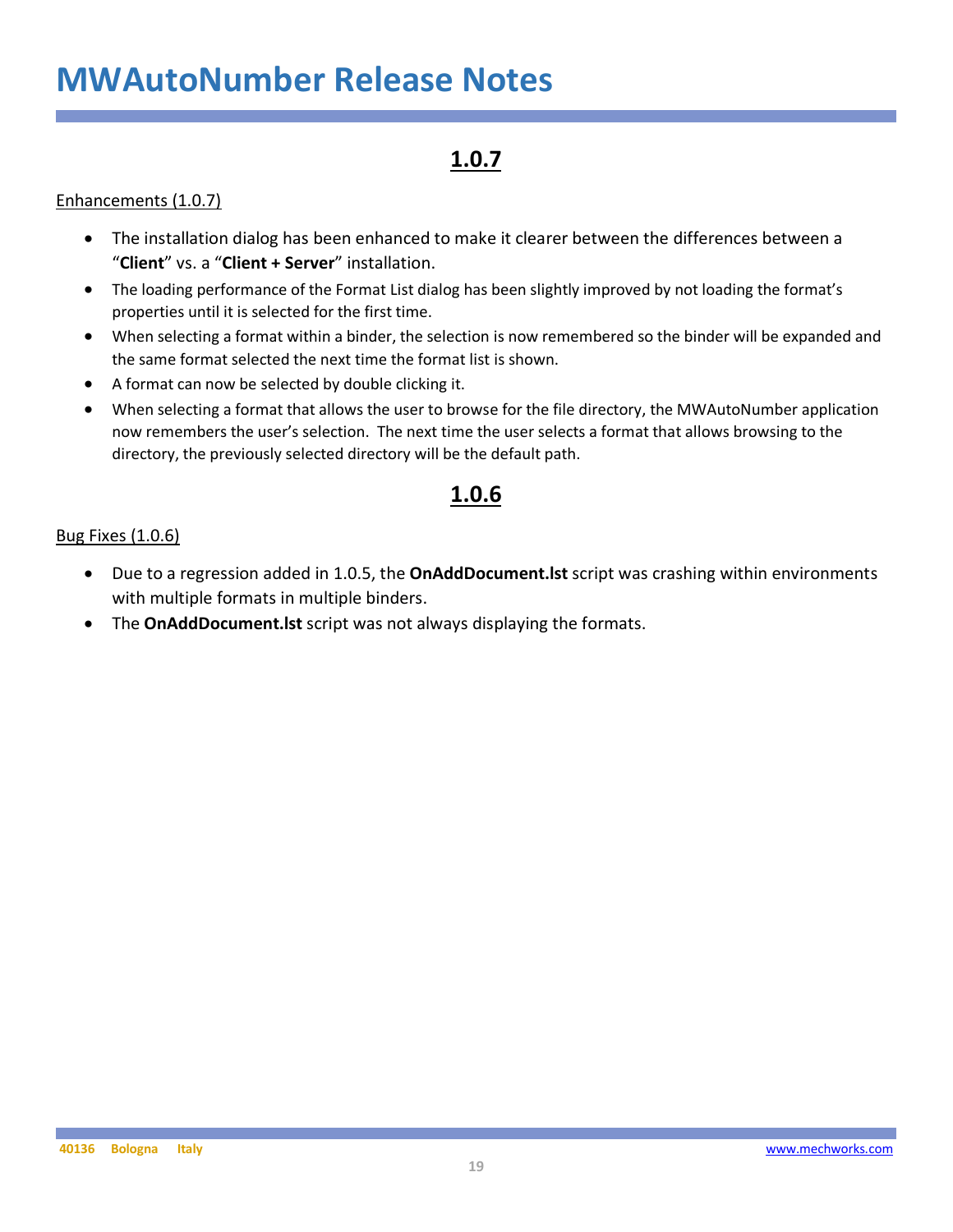### **1.0.7**

#### Enhancements (1.0.7)

- The installation dialog has been enhanced to make it clearer between the differences between a "**Client**" vs. a "**Client + Server**" installation.
- The loading performance of the Format List dialog has been slightly improved by not loading the format's properties until it is selected for the first time.
- When selecting a format within a binder, the selection is now remembered so the binder will be expanded and the same format selected the next time the format list is shown.
- A format can now be selected by double clicking it.
- When selecting a format that allows the user to browse for the file directory, the MWAutoNumber application now remembers the user's selection. The next time the user selects a format that allows browsing to the directory, the previously selected directory will be the default path.

### **1.0.6**

#### Bug Fixes (1.0.6)

- Due to a regression added in 1.0.5, the **OnAddDocument.lst** script was crashing within environments with multiple formats in multiple binders.
- The **OnAddDocument.lst** script was not always displaying the formats.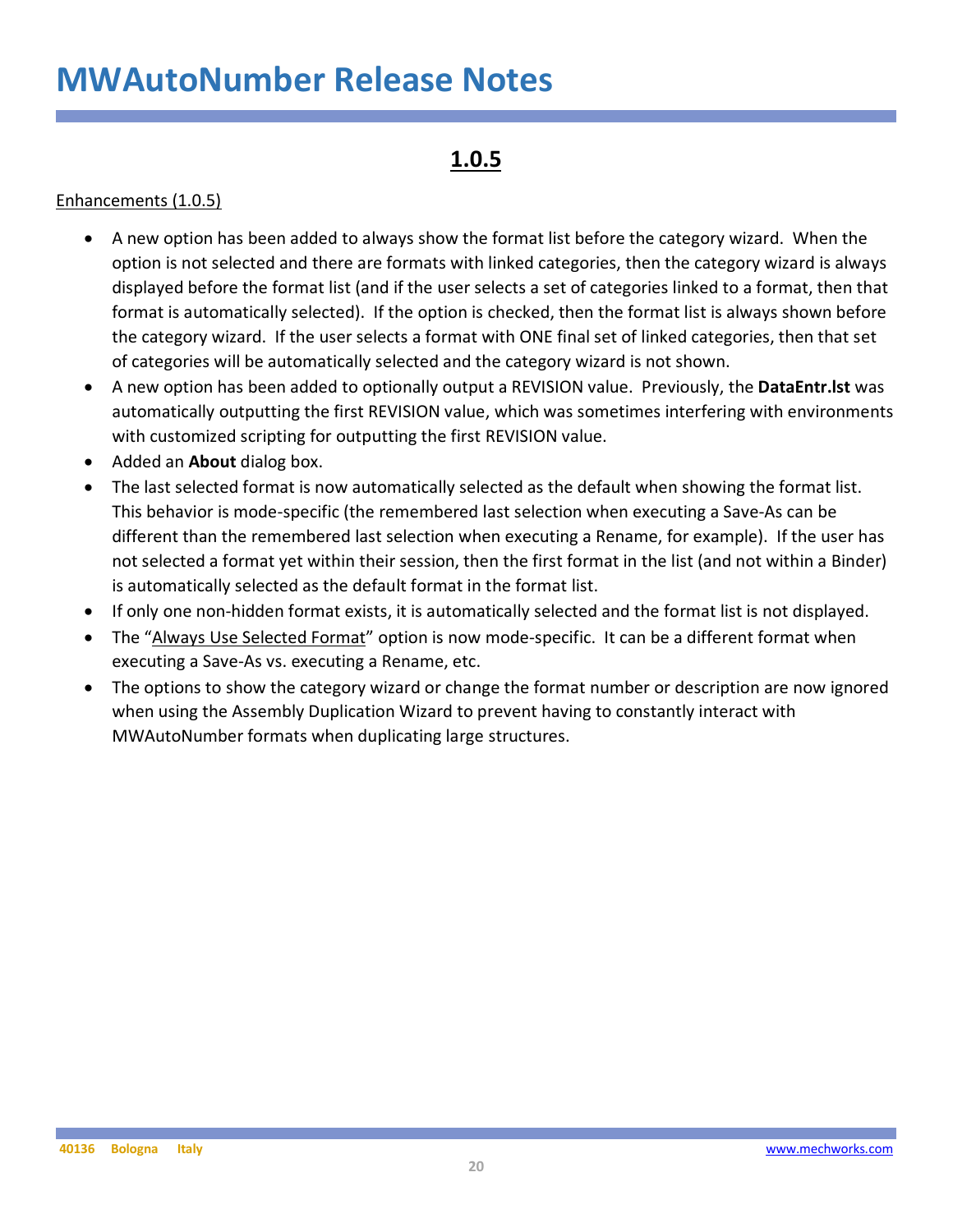### **1.0.5**

#### Enhancements (1.0.5)

- A new option has been added to always show the format list before the category wizard. When the option is not selected and there are formats with linked categories, then the category wizard is always displayed before the format list (and if the user selects a set of categories linked to a format, then that format is automatically selected). If the option is checked, then the format list is always shown before the category wizard. If the user selects a format with ONE final set of linked categories, then that set of categories will be automatically selected and the category wizard is not shown.
- A new option has been added to optionally output a REVISION value. Previously, the **DataEntr.lst** was automatically outputting the first REVISION value, which was sometimes interfering with environments with customized scripting for outputting the first REVISION value.
- Added an **About** dialog box.
- The last selected format is now automatically selected as the default when showing the format list. This behavior is mode-specific (the remembered last selection when executing a Save-As can be different than the remembered last selection when executing a Rename, for example). If the user has not selected a format yet within their session, then the first format in the list (and not within a Binder) is automatically selected as the default format in the format list.
- If only one non-hidden format exists, it is automatically selected and the format list is not displayed.
- The "Always Use Selected Format" option is now mode-specific. It can be a different format when executing a Save-As vs. executing a Rename, etc.
- The options to show the category wizard or change the format number or description are now ignored when using the Assembly Duplication Wizard to prevent having to constantly interact with MWAutoNumber formats when duplicating large structures.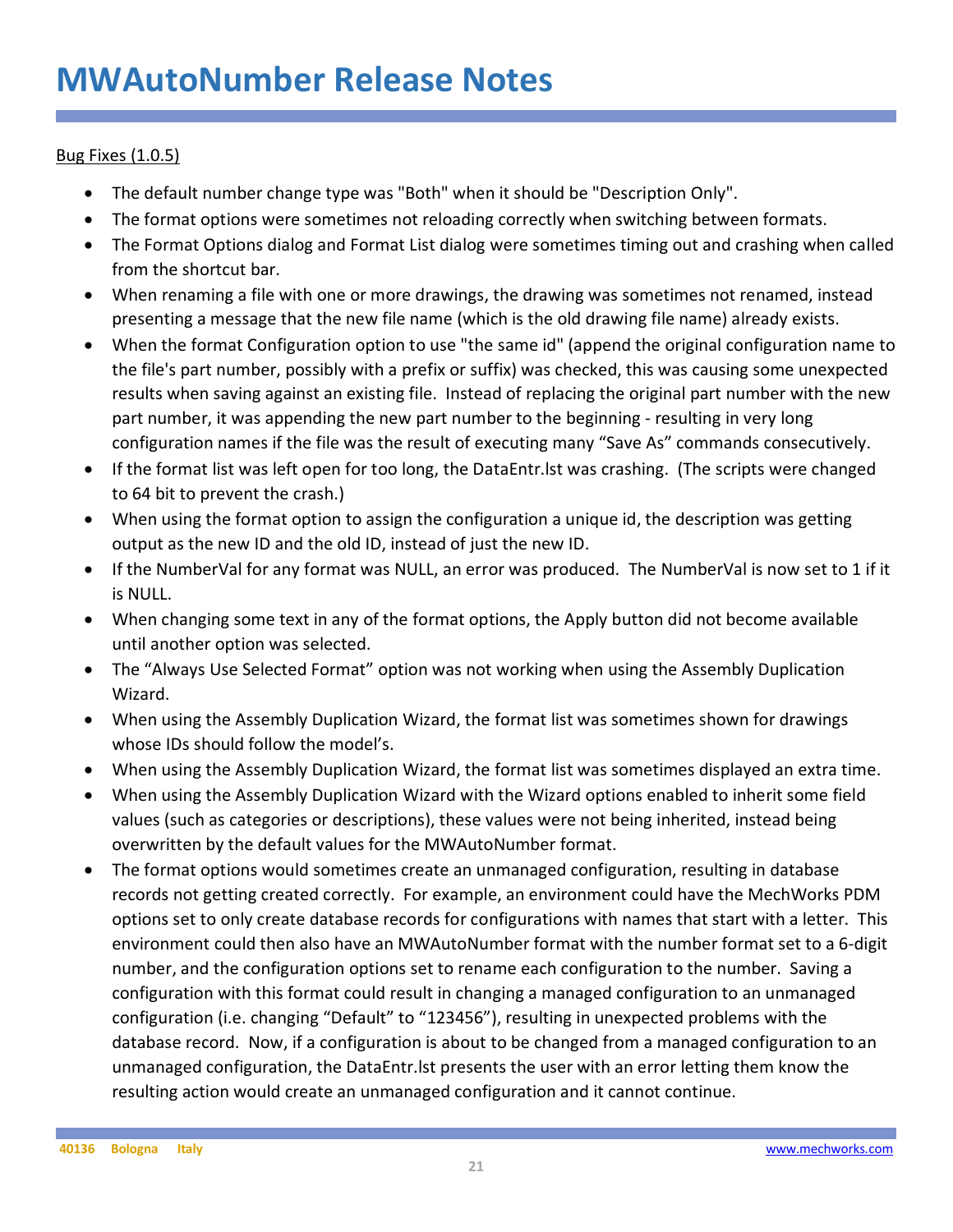#### Bug Fixes (1.0.5)

- The default number change type was "Both" when it should be "Description Only".
- The format options were sometimes not reloading correctly when switching between formats.
- The Format Options dialog and Format List dialog were sometimes timing out and crashing when called from the shortcut bar.
- When renaming a file with one or more drawings, the drawing was sometimes not renamed, instead presenting a message that the new file name (which is the old drawing file name) already exists.
- When the format Configuration option to use "the same id" (append the original configuration name to the file's part number, possibly with a prefix or suffix) was checked, this was causing some unexpected results when saving against an existing file. Instead of replacing the original part number with the new part number, it was appending the new part number to the beginning - resulting in very long configuration names if the file was the result of executing many "Save As" commands consecutively.
- If the format list was left open for too long, the DataEntr.lst was crashing. (The scripts were changed to 64 bit to prevent the crash.)
- When using the format option to assign the configuration a unique id, the description was getting output as the new ID and the old ID, instead of just the new ID.
- If the NumberVal for any format was NULL, an error was produced. The NumberVal is now set to 1 if it is NULL.
- When changing some text in any of the format options, the Apply button did not become available until another option was selected.
- The "Always Use Selected Format" option was not working when using the Assembly Duplication Wizard.
- When using the Assembly Duplication Wizard, the format list was sometimes shown for drawings whose IDs should follow the model's.
- When using the Assembly Duplication Wizard, the format list was sometimes displayed an extra time.
- When using the Assembly Duplication Wizard with the Wizard options enabled to inherit some field values (such as categories or descriptions), these values were not being inherited, instead being overwritten by the default values for the MWAutoNumber format.
- The format options would sometimes create an unmanaged configuration, resulting in database records not getting created correctly. For example, an environment could have the MechWorks PDM options set to only create database records for configurations with names that start with a letter. This environment could then also have an MWAutoNumber format with the number format set to a 6-digit number, and the configuration options set to rename each configuration to the number. Saving a configuration with this format could result in changing a managed configuration to an unmanaged configuration (i.e. changing "Default" to "123456"), resulting in unexpected problems with the database record. Now, if a configuration is about to be changed from a managed configuration to an unmanaged configuration, the DataEntr.lst presents the user with an error letting them know the resulting action would create an unmanaged configuration and it cannot continue.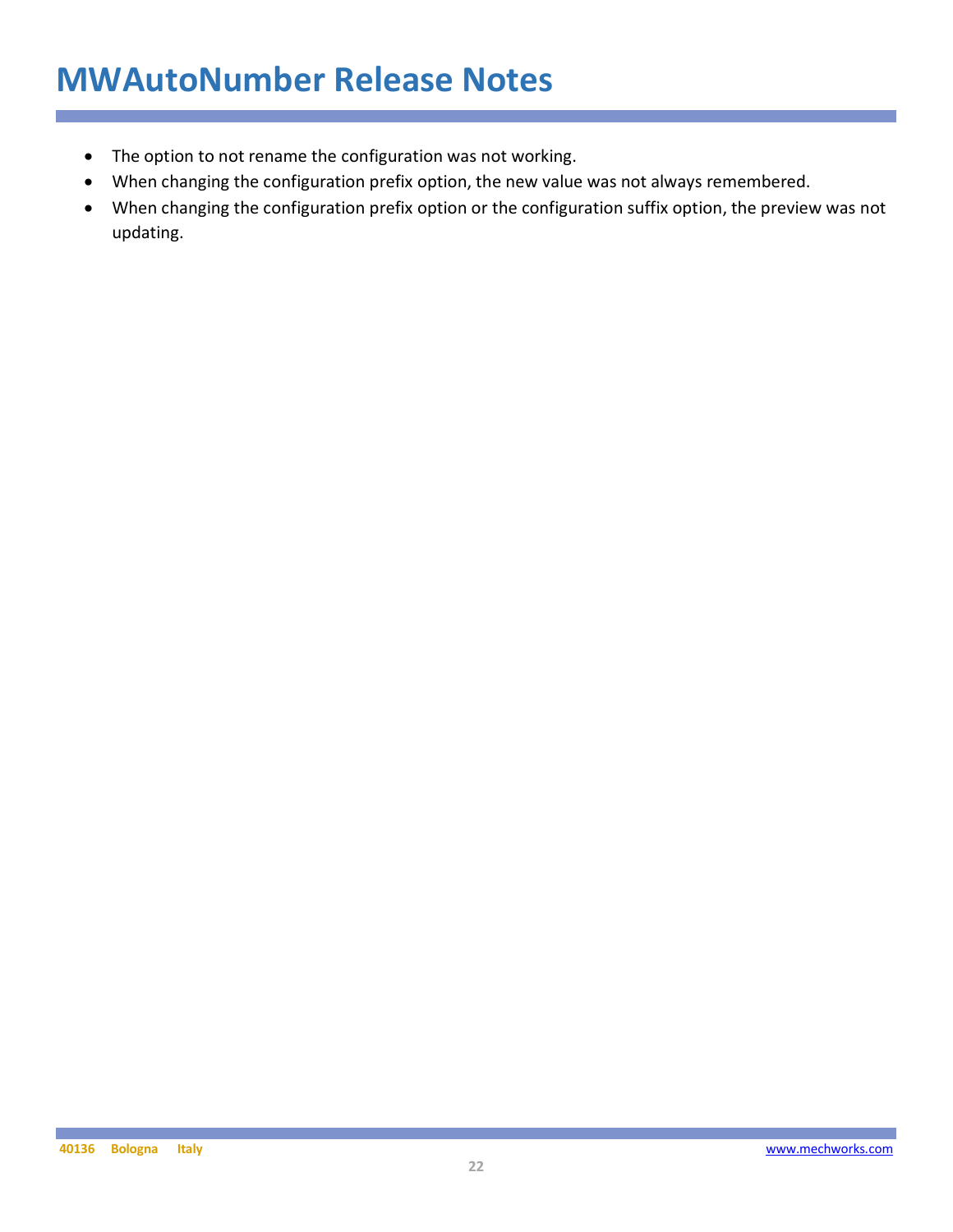- The option to not rename the configuration was not working.
- When changing the configuration prefix option, the new value was not always remembered.
- When changing the configuration prefix option or the configuration suffix option, the preview was not updating.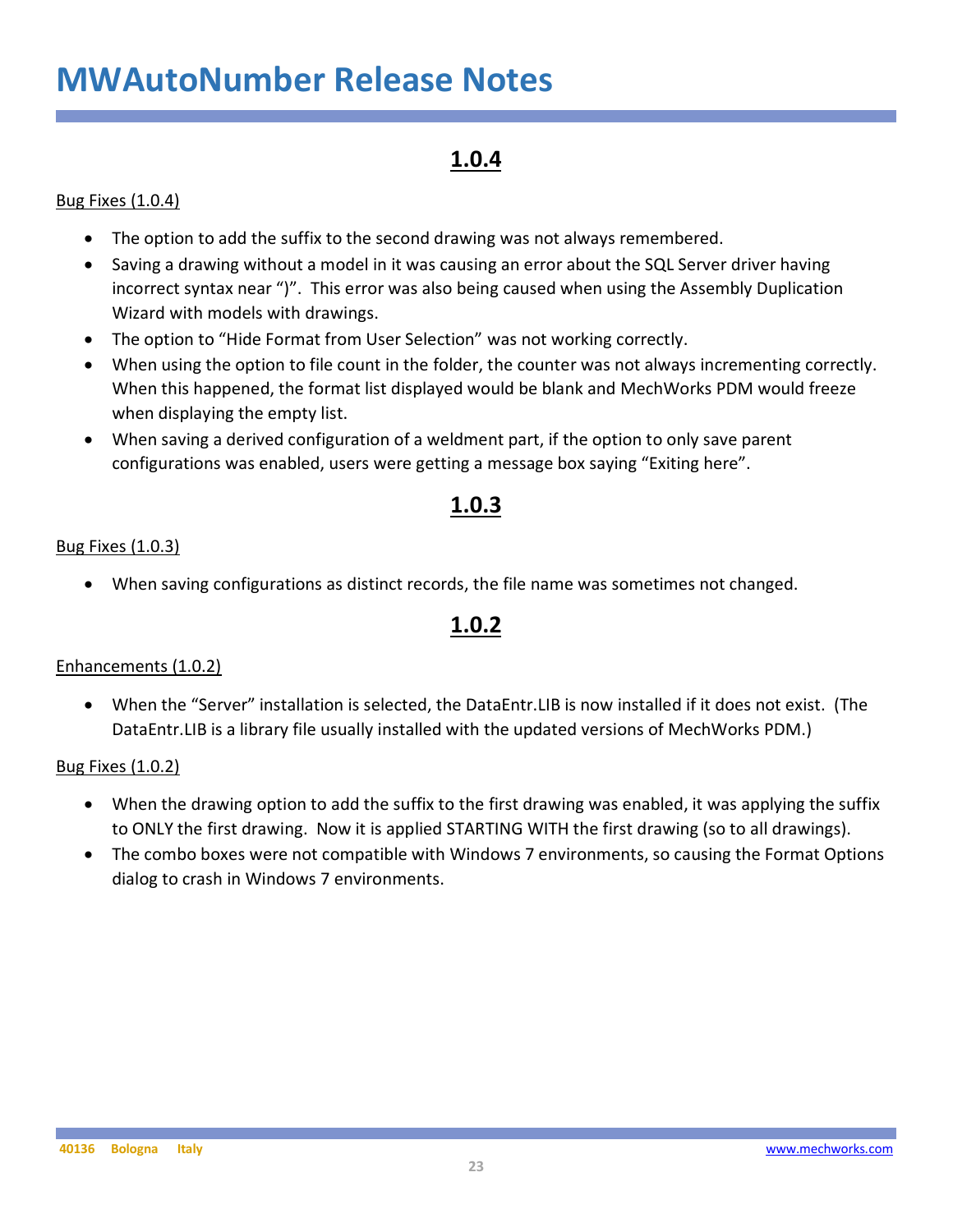### **1.0.4**

#### Bug Fixes (1.0.4)

- The option to add the suffix to the second drawing was not always remembered.
- Saving a drawing without a model in it was causing an error about the SQL Server driver having incorrect syntax near ")". This error was also being caused when using the Assembly Duplication Wizard with models with drawings.
- The option to "Hide Format from User Selection" was not working correctly.
- When using the option to file count in the folder, the counter was not always incrementing correctly. When this happened, the format list displayed would be blank and MechWorks PDM would freeze when displaying the empty list.
- When saving a derived configuration of a weldment part, if the option to only save parent configurations was enabled, users were getting a message box saying "Exiting here".

### **1.0.3**

#### Bug Fixes (1.0.3)

• When saving configurations as distinct records, the file name was sometimes not changed.

### **1.0.2**

#### Enhancements (1.0.2)

• When the "Server" installation is selected, the DataEntr.LIB is now installed if it does not exist. (The DataEntr.LIB is a library file usually installed with the updated versions of MechWorks PDM.)

#### Bug Fixes (1.0.2)

- When the drawing option to add the suffix to the first drawing was enabled, it was applying the suffix to ONLY the first drawing. Now it is applied STARTING WITH the first drawing (so to all drawings).
- The combo boxes were not compatible with Windows 7 environments, so causing the Format Options dialog to crash in Windows 7 environments.